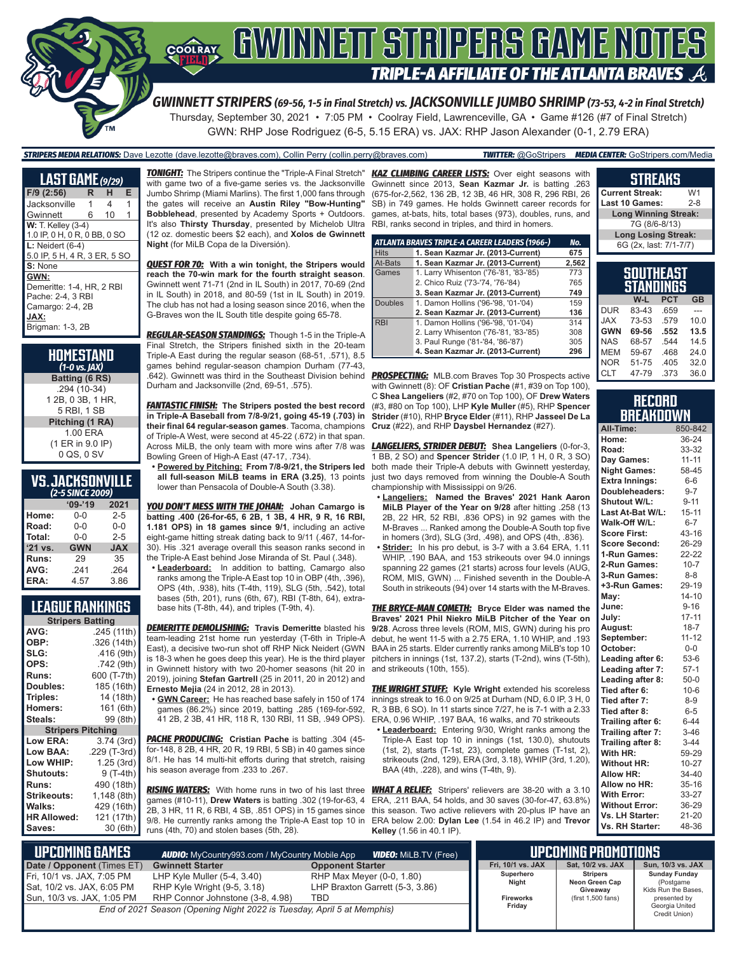

*GWINNETT STRIPERS (69-56, 1-5 in Final Stretch) vs. JACKSONVILLE JUMBO SHRIMP (73-53, 4-2 in Final Stretch)* Thursday, September 30, 2021 • 7:05 PM • Coolray Field, Lawrenceville, GA • Game #126 (#7 of Final Stretch) GWN: RHP Jose Rodriguez (6-5, 5.15 ERA) vs. JAX: RHP Jason Alexander (0-1, 2.79 ERA)

*STRIPERS MEDIA RELATIONS:* Dave Lezotte (dave.lezotte@braves.com), Collin Perry (collin.perry@braves.com) *TWITTER:* @GoStripers *MEDIA CENTER:* GoStripers.com/Media

| <b>LAST GAME</b> (9/29)                                                                                |   |    |   |
|--------------------------------------------------------------------------------------------------------|---|----|---|
| $F/9$ (2:56)                                                                                           | R | н  | Е |
| Jacksonville                                                                                           | 1 | 4  | 1 |
| Gwinnett                                                                                               | 6 | 10 | 1 |
| <b>W:</b> T. Kelley (3-4)<br>1.0 IP, 0 H, 0 R, 0 BB, 0 SO                                              |   |    |   |
| $L:$ Neidert (6-4)<br>5.0 IP, 5 H, 4 R, 3 ER, 5 SO                                                     |   |    |   |
| S: None                                                                                                |   |    |   |
| GWN:<br>Demeritte: 1-4, HR, 2 RBI<br>Pache: 2-4, 3 RBI<br>Camargo: 2-4, 2B<br>JAX:<br>Brigman: 1-3, 2B |   |    |   |

| HOMESTAND<br>$(1-0 \text{ vs. } \text{IAX})$     |
|--------------------------------------------------|
| Batting (6 RS)                                   |
| .294 (10-34)<br>1 2B, 0 3B, 1 HR,<br>5 RBI, 1 SB |
| Pitching (1 RA)                                  |
| 1.00 ERA<br>(1 ER in 9.0 IP)<br>0 QS, 0 SV       |

#### **VS. JACKSONVILLE**  *(2-5 SINCE 2009)*

| (2~3 JINCE ZUUJ) |            |            |  |  |  |  |
|------------------|------------|------------|--|--|--|--|
|                  | $'09-'19$  | 2021       |  |  |  |  |
| Home:            | 0-0        | $2 - 5$    |  |  |  |  |
| Road:            | $0 - 0$    | $0 - 0$    |  |  |  |  |
| Total:           | $0 - 0$    | $2 - 5$    |  |  |  |  |
| '21 vs.          | <b>GWN</b> | <b>JAX</b> |  |  |  |  |
| Runs:            | 29         | 35         |  |  |  |  |
| AVG:             | .241       | .264       |  |  |  |  |
| ERA:             | 4.57       | 3.86       |  |  |  |  |

### **LEAGUE RANKINGS**

| <b>Stripers Batting</b>  |              |  |  |  |  |
|--------------------------|--------------|--|--|--|--|
| AVG:                     | .245 (11th)  |  |  |  |  |
| OBP:                     | .326 (14th)  |  |  |  |  |
| SLG:                     | .416 (9th)   |  |  |  |  |
| OPS:                     | .742 (9th)   |  |  |  |  |
| <b>Runs:</b>             | 600 (T-7th)  |  |  |  |  |
| Doubles:                 | 185 (16th)   |  |  |  |  |
| Triples:                 | 14 (18th)    |  |  |  |  |
| <b>Homers:</b>           | 161 (6th)    |  |  |  |  |
| Steals:                  | 99 (8th)     |  |  |  |  |
| <b>Stripers Pitching</b> |              |  |  |  |  |
| <b>Low ERA:</b>          | 3.74 (3rd)   |  |  |  |  |
| Low BAA:                 | .229 (T-3rd) |  |  |  |  |
| Low WHIP:                | 1.25 (3rd)   |  |  |  |  |
| Shutouts:                | 9 (T-4th)    |  |  |  |  |
| <b>Runs:</b>             | 490 (18th)   |  |  |  |  |
| <b>Strikeouts:</b>       | 1,148 (8th)  |  |  |  |  |
| Walks:                   | 429 (16th)   |  |  |  |  |
| <b>HR Allowed:</b>       | 121 (17th)   |  |  |  |  |
| Saves:                   | 30 (6th)     |  |  |  |  |

*TONIGHT:* The Stripers continue the "Triple-A Final Stretch" *KAZ CLIMBING CAREER LISTS:* Over eight seasons with with game two of a five-game series vs. the Jacksonville Jumbo Shrimp (Miami Marlins). The first 1,000 fans through the gates will receive an **Austin Riley "Bow-Hunting" Bobblehead**, presented by Academy Sports + Outdoors. It's also **Thirsty Thursday**, presented by Michelob Ultra (12 oz. domestic beers \$2 each), and **Xolos de Gwinnett Night** (for MiLB Copa de la Diversión).

*QUEST FOR 70:* **With a win tonight, the Stripers would reach the 70-win mark for the fourth straight season**. Gwinnett went 71-71 (2nd in IL South) in 2017, 70-69 (2nd in IL South) in 2018, and 80-59 (1st in IL South) in 2019. The club has not had a losing season since 2016, when the G-Braves won the IL South title despite going 65-78.

*REGULAR-SEASON STANDINGS:* Though 1-5 in the Triple-A Final Stretch, the Stripers finished sixth in the 20-team Triple-A East during the regular season (68-51, .571), 8.5 games behind regular-season champion Durham (77-43, .642). Gwinnett was third in the Southeast Division behind Durham and Jacksonville (2nd, 69-51, .575).

*FANTASTIC FINISH:* **The Stripers posted the best record in Triple-A Baseball from 7/8-9/21, going 45-19 (.703) in their final 64 regular-season games**. Tacoma, champions of Triple-A West, were second at 45-22 (.672) in that span. Across MiLB, the only team with more wins after 7/8 was Bowling Green of High-A East (47-17, .734).

**• Powered by Pitching: From 7/8-9/21, the Stripers led all full-season MiLB teams in ERA (3.25)**, 13 points lower than Pensacola of Double-A South (3.38).

*YOU DON'T MESS WITH THE JOHAN:* **Johan Camargo is batting .400 (26-for-65, 6 2B, 1 3B, 4 HR, 9 R, 16 RBI, 1.181 OPS) in 18 games since 9/1**, including an active eight-game hitting streak dating back to 9/11 (.467, 14-for-30). His .321 average overall this season ranks second in the Triple-A East behind Jose Miranda of St. Paul (.348).

**• Leaderboard:** In addition to batting, Camargo also ranks among the Triple-A East top 10 in OBP (4th, .396), OPS (4th, .938), hits (T-4th, 119), SLG (5th, .542), total bases (5th, 201), runs (6th, 67), RBI (T-8th, 64), extrabase hits (T-8th, 44), and triples (T-9th, 4).

*DEMERITTE DEMOLISHING:* **Travis Demeritte** blasted his team-leading 21st home run yesterday (T-6th in Triple-A East), a decisive two-run shot off RHP Nick Neidert (GWN in Gwinnett history with two 20-homer seasons (hit 20 in 2019), joining **Stefan Gartrell** (25 in 2011, 20 in 2012) and **Ernesto Mejia** (24 in 2012, 28 in 2013).

**• GWN Career:** He has reached base safely in 150 of 174 games (86.2%) since 2019, batting .285 (169-for-592, 41 2B, 2 3B, 41 HR, 118 R, 130 RBI, 11 SB, .949 OPS).

*PACHE PRODUCING:* **Cristian Pache** is batting .304 (45 for-148, 8 2B, 4 HR, 20 R, 19 RBI, 5 SB) in 40 games since 8/1. He has 14 multi-hit efforts during that stretch, raising his season average from .233 to .267.

**RISING WATERS:** With home runs in two of his last three games (#10-11), **Drew Waters** is batting .302 (19-for-63, 4 2B, 3 HR, 11 R, 6 RBI, 4 SB, .851 OPS) in 15 games since 9/8. He currently ranks among the Triple-A East top 10 in ERA below 2.00: **Dylan Lee** (1.54 in 46.2 IP) and **Trevor**  runs (4th, 70) and stolen bases (5th, 28).

Gwinnett since 2013, **Sean Kazmar Jr.** is batting .263 (675-for-2,562, 136 2B, 12 3B, 46 HR, 308 R, 296 RBI, 26 SB) in 749 games. He holds Gwinnett career records for games, at-bats, hits, total bases (973), doubles, runs, and RBI, ranks second in triples, and third in homers.

|                | ATLANTA BRAVES TRIPLE-A CAREER LEADERS (1966-) | No.   |
|----------------|------------------------------------------------|-------|
| <b>Hits</b>    | 1. Sean Kazmar Jr. (2013-Current)              | 675   |
| At-Bats        | 1. Sean Kazmar Jr. (2013-Current)              | 2,562 |
| Games          | 1. Larry Whisenton ('76-'81, '83-'85)          | 773   |
|                | 2. Chico Ruiz ('73-'74, '76-'84)               | 765   |
|                | 3. Sean Kazmar Jr. (2013-Current)              | 749   |
| <b>Doubles</b> | 1. Damon Hollins ('96-'98, '01-'04)            | 159   |
|                | 2. Sean Kazmar Jr. (2013-Current)              | 136   |
| <b>RBI</b>     | 1. Damon Hollins ('96-'98, '01-'04)            | 314   |
|                | 2. Larry Whisenton ('76-'81, '83-'85)          | 308   |
|                | 3. Paul Runge ('81-'84, '86-'87)               | 305   |
|                | 4. Sean Kazmar Jr. (2013-Current)              | 296   |

*PROSPECTING:* MLB.com Braves Top 30 Prospects active with Gwinnett (8): OF **Cristian Pache** (#1, #39 on Top 100), C **Shea Langeliers** (#2, #70 on Top 100), OF **Drew Waters** (#3, #80 on Top 100), LHP **Kyle Muller** (#5), RHP **Spencer Strider** (#10), RHP **Bryce Elder** (#11), RHP **Jasseel De La Cruz** (#22), and RHP **Daysbel Hernandez** (#27).

*LANGELIERS, STRIDER DEBUT:* **Shea Langeliers** (0-for-3, 1 BB, 2 SO) and **Spencer Strider** (1.0 IP, 1 H, 0 R, 3 SO) both made their Triple-A debuts with Gwinnett yesterday, just two days removed from winning the Double-A South championship with Mississippi on 9/26.

- **• Langeliers: Named the Braves' 2021 Hank Aaron MiLB Player of the Year on 9/28** after hitting .258 (13 2B, 22 HR, 52 RBI, .836 OPS) in 92 games with the M-Braves ... Ranked among the Double-A South top five in homers (3rd), SLG (3rd, .498), and OPS (4th, .836).
- **• Strider:** In his pro debut, is 3-7 with a 3.64 ERA, 1.11 WHIP, .190 BAA, and 153 strikeouts over 94.0 innings spanning 22 games (21 starts) across four levels (AUG, ROM, MIS, GWN) ... Finished seventh in the Double-A South in strikeouts (94) over 14 starts with the M-Braves.

is 18-3 when he goes deep this year). He is the third player pitchers in innings (1st, 137.2), starts (T-2nd), wins (T-5th), *THE BRYCE-MAN COMETH:* **Bryce Elder was named the Braves' 2021 Phil Niekro MiLB Pitcher of the Year on 9/28**. Across three levels (ROM, MIS, GWN) during his pro debut, he went 11-5 with a 2.75 ERA, 1.10 WHIP, and .193 BAA in 25 starts. Elder currently ranks among MiLB's top 10 and strikeouts (10th, 155).

> *THE WRIGHT STUFF:* **Kyle Wright** extended his scoreless innings streak to 16.0 on 9/25 at Durham (ND, 6.0 IP, 3 H, 0 R, 3 BB, 6 SO). In 11 starts since 7/27, he is 7-1 with a 2.33 ERA, 0.96 WHIP, .197 BAA, 16 walks, and 70 strikeouts

**• Leaderboard:** Entering 9/30, Wright ranks among the Triple-A East top 10 in innings (1st, 130.0), shutouts (1st, 2), starts (T-1st, 23), complete games (T-1st, 2), strikeouts (2nd, 129), ERA (3rd, 3.18), WHIP (3rd, 1.20), BAA (4th, .228), and wins (T-4th, 9).

*WHAT A RELIEF:* Stripers' relievers are 38-20 with a 3.10 ERA, .211 BAA, 54 holds, and 30 saves (30-for-47, 63.8%) this season. Two active relievers with 20-plus IP have an **Kelley** (1.56 in 40.1 IP).

#### **SOUTHEAST Current Streak:** W1<br>Last 10 Games: 2-8 Last 10 Games: **Long Winning Streak:** 7G (8/6-8/13) **Long Losing Streak:** 6G (2x, last: 7/1-7/7)

**STREAKS**

| STANDINGS  |       |            |           |  |  |  |  |
|------------|-------|------------|-----------|--|--|--|--|
|            | W-L   | <b>PCT</b> | <b>GB</b> |  |  |  |  |
| <b>DUR</b> | 83-43 | .659       |           |  |  |  |  |
| <b>JAX</b> | 73-53 | .579       | 10.0      |  |  |  |  |
| <b>GWN</b> | 69-56 | .552       | 13.5      |  |  |  |  |
| <b>NAS</b> | 68-57 | 544        | 14.5      |  |  |  |  |
| <b>MEM</b> | 59-67 | .468       | 24.0      |  |  |  |  |
| <b>NOR</b> | 51-75 | .405       | 32.0      |  |  |  |  |
| <b>CLT</b> | 47-79 | .373       | 36.0      |  |  |  |  |

| <b>RECORD</b>    |  |
|------------------|--|
| <b>BREAKDOWN</b> |  |

| All-Time:             | 850-842   |
|-----------------------|-----------|
| Home:                 | 36-24     |
| Road:                 | 33-32     |
| Day Games:            | $11 - 11$ |
| <b>Night Games:</b>   | 58-45     |
| <b>Extra Innings:</b> | $6-6$     |
| Doubleheaders:        | $9 - 7$   |
| <b>Shutout W/L:</b>   | $9 - 11$  |
| Last At-Bat W/L:      | $15 - 11$ |
| Walk-Off W/L:         | $6 - 7$   |
| <b>Score First:</b>   | 43-16     |
| <b>Score Second:</b>  | 26-29     |
| 1-Run Games:          | 22-22     |
| 2-Run Games:          | $10 - 7$  |
| 3-Run Games:          | $8 - 8$   |
| +3-Run Games:         | 29-19     |
| May:                  | $14 - 10$ |
| June:                 | $9 - 16$  |
| July:                 | $17 - 11$ |
| August:               | $18 - 7$  |
| September:            | $11 - 12$ |
| October:              | $0-0$     |
| Leading after 6:      | 53-6      |
| Leading after 7:      | $57-1$    |
| Leading after 8:      | $50 - 0$  |
| Tied after 6:         | $10-6$    |
| Tied after 7:         | $8 - 9$   |
| Tied after 8:         | $6-5$     |
| Trailing after 6:     | $6 - 44$  |
| Trailing after 7:     | $3 - 46$  |
| Trailing after 8:     | $3 - 44$  |
| With HR:              | 59-29     |
| <b>Without HR:</b>    | $10 - 27$ |
| <b>Allow HR:</b>      | 34-40     |
| Allow no HR:          | $35 - 16$ |
| <b>With Error:</b>    | 33-27     |
| <b>Without Error:</b> | 36-29     |
| Vs. LH Starter:       | 21-20     |
| Vs. RH Starter:       | 48-36     |

| <b>UPCOMING GAMES</b>      |                                                                        | UPCOMING PROMOTIONS             |                  |                            |  |
|----------------------------|------------------------------------------------------------------------|---------------------------------|------------------|----------------------------|--|
| Date / Opponent (Times ET) | <b>Gwinnett Starter</b>                                                | <b>Opponent Starter</b>         |                  |                            |  |
| Fri, 10/1 vs. JAX, 7:05 PM | LHP Kyle Muller (5-4, 3.40)                                            | RHP Max Meyer (0-0, 1.80)       | Superhero        | <b>Stripers</b>            |  |
| Sat, 10/2 vs. JAX, 6:05 PM | RHP Kyle Wright (9-5, 3.18)                                            | LHP Braxton Garrett (5-3, 3.86) | Night            | Neon Green Cap<br>Giveawav |  |
| Sun, 10/3 vs. JAX, 1:05 PM | RHP Connor Johnstone (3-8, 4.98)                                       | TBD                             | <b>Fireworks</b> | (first 1,500 fans)         |  |
|                            | End of 2021 Season (Opening Night 2022 is Tuesday, April 5 at Memphis) |                                 | Friday           |                            |  |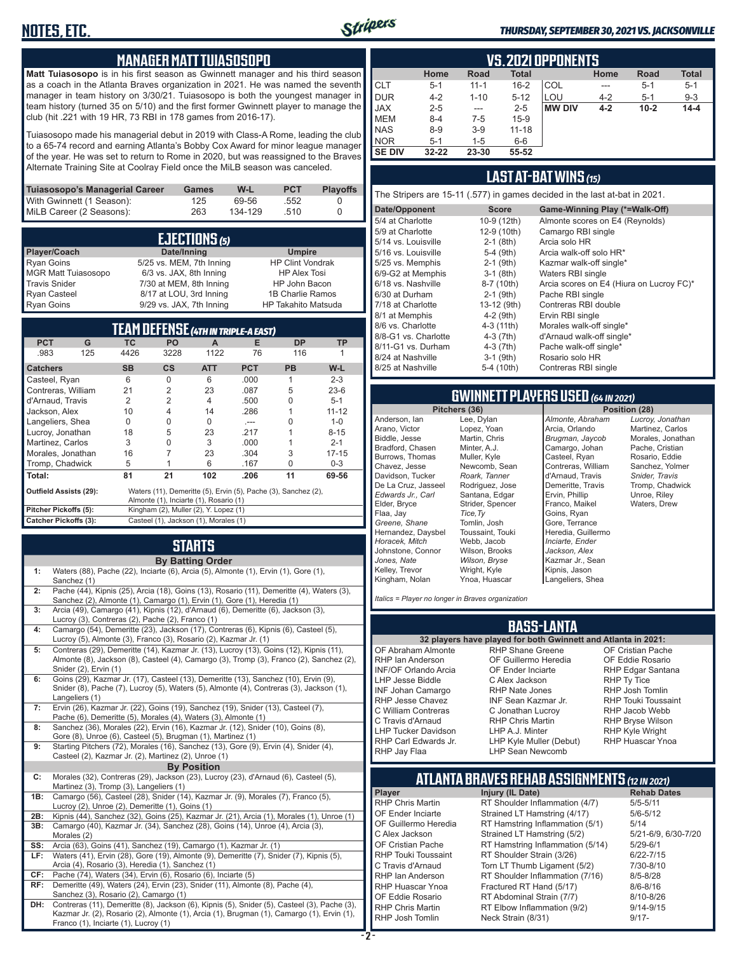### **MANAGER MATT TUIASOSOPO**

**Matt Tuiasosopo** is in his first season as Gwinnett manager and his third season as a coach in the Atlanta Braves organization in 2021. He was named the seventh manager in team history on 3/30/21. Tuiasosopo is both the youngest manager in team history (turned 35 on 5/10) and the first former Gwinnett player to manage the club (hit .221 with 19 HR, 73 RBI in 178 games from 2016-17).

Tuiasosopo made his managerial debut in 2019 with Class-A Rome, leading the club to a 65-74 record and earning Atlanta's Bobby Cox Award for minor league manager of the year. He was set to return to Rome in 2020, but was reassigned to the Braves Alternate Training Site at Coolray Field once the MiLB season was canceled.

| Tuiasosopo's Managerial Career | Games | W-L     | <b>PCT</b> | <b>Plavoffs</b> |
|--------------------------------|-------|---------|------------|-----------------|
| With Gwinnett (1 Season):      | 125   | 69-56   | .552       |                 |
| MiLB Career (2 Seasons):       | 263   | 134-129 | 510        |                 |

|                            | <b>EJECTIONS</b> (5)     |                            |
|----------------------------|--------------------------|----------------------------|
| Player/Coach               | Date/Inning              | <b>Umpire</b>              |
| <b>Ryan Goins</b>          | 5/25 vs. MEM, 7th Inning | <b>HP Clint Vondrak</b>    |
| <b>MGR Matt Tuiasosopo</b> | 6/3 vs. JAX, 8th Inning  | <b>HP Alex Tosi</b>        |
| <b>Travis Snider</b>       | 7/30 at MEM, 8th Inning  | HP John Bacon              |
| <b>Ryan Casteel</b>        | 8/17 at LOU, 3rd Inning  | 1B Charlie Ramos           |
| <b>Ryan Goins</b>          | 9/29 vs. JAX, 7th Inning | <b>HP Takahito Matsuda</b> |

|                                                                       |     |           |               | TEAM DEFENSE (4TH IN TRIPLE-A EAST)    | 8/6 vs. Charlotte<br>8/8-G1 vs. Charlotte | $4-3(11th)$<br>4-3 (7th)                                       | Morales walk-off sinc<br>d'Arnaud walk-off sin |                                                          |                                                       |                                                       |
|-----------------------------------------------------------------------|-----|-----------|---------------|----------------------------------------|-------------------------------------------|----------------------------------------------------------------|------------------------------------------------|----------------------------------------------------------|-------------------------------------------------------|-------------------------------------------------------|
| <b>PCT</b>                                                            | G   | ТC        | PO.           | А                                      | Е                                         | <b>DP</b>                                                      | <b>TP</b>                                      | 8/11-G1 vs. Durham                                       | $4-3(7th)$                                            | Pache walk-off single                                 |
| .983                                                                  | 125 | 4426      | 3228          | 1122                                   | 76                                        | 116                                                            |                                                | 8/24 at Nashville                                        | $3-1$ (9th)                                           | Rosario solo HR                                       |
| <b>Catchers</b>                                                       |     | <b>SB</b> | $\mathsf{cs}$ | <b>ATT</b>                             | <b>PCT</b>                                | <b>PB</b>                                                      | $W-L$                                          | 8/25 at Nashville                                        | 5-4 (10th)                                            | Contreras RBI single                                  |
| Casteel, Ryan                                                         |     | 6         | 0             | 6                                      | .000                                      |                                                                | $2 - 3$                                        |                                                          |                                                       |                                                       |
| Contreras, William                                                    |     | 21        |               | 23                                     | .087                                      | 5                                                              | $23-6$                                         |                                                          |                                                       |                                                       |
| d'Arnaud. Travis                                                      |     |           |               |                                        | .500                                      |                                                                | $5 - 1$                                        |                                                          |                                                       | <b>GWINNETT PLAYERS USED (64 IN 2</b>                 |
| Jackson, Alex                                                         |     | 10        |               | 14                                     | .286                                      |                                                                | $11 - 12$                                      | Pitchers (36)                                            |                                                       | Pos                                                   |
| Langeliers, Shea                                                      |     | $\Omega$  |               |                                        | $- - -$                                   |                                                                | $1 - 0$                                        | Anderson, lan                                            | Lee, Dylan                                            | Almonte, Abraham                                      |
| Lucroy, Jonathan                                                      |     | 18        | b             | 23                                     | .217                                      |                                                                | $8 - 15$                                       | Arano, Victor                                            | Lopez, Yoan                                           | Arcia, Orlando                                        |
| Martinez. Carlos                                                      |     | 3         |               | 3                                      | .000                                      |                                                                | $2 - 1$                                        | Biddle, Jesse                                            | Martin, Chris                                         | Brugman, Jaycob                                       |
| Morales, Jonathan                                                     |     | 16        |               | 23                                     | .304                                      |                                                                | $17 - 15$                                      | Bradford, Chasen                                         | Minter, A.J.                                          | Camargo, Johan                                        |
| Tromp, Chadwick                                                       |     | 5         |               | 6                                      | .167                                      | $\Omega$                                                       | $0 - 3$                                        | Burrows, Thomas<br>Chavez, Jesse                         | Muller, Kyle<br>Newcomb, Sean                         | Casteel, Ryan<br>Contreras, William                   |
| Total:                                                                |     | 81        | 21            | 102                                    | .206                                      | 11                                                             | 69-56                                          | Davidson, Tucker                                         | Roark, Tanner                                         | d'Arnaud, Travis                                      |
| <b>Outfield Assists (29):</b>                                         |     |           |               | Almonte (1), Inciarte (1), Rosario (1) |                                           | Waters (11), Demeritte (5), Ervin (5), Pache (3), Sanchez (2), |                                                | De La Cruz, Jasseel<br>Edwards Jr., Carl<br>Elder, Bryce | Rodriguez, Jose<br>Santana, Edgar<br>Strider, Spencer | Demeritte, Travis<br>Ervin, Phillip<br>Franco, Maikel |
| Pitcher Pickoffs (5):<br>Kingham (2), Muller (2), Y. Lopez (1)        |     |           |               |                                        |                                           | Flaa, Jay                                                      | Tice, Ty                                       | Goins, Ryan                                              |                                                       |                                                       |
| Casteel (1), Jackson (1), Morales (1)<br><b>Catcher Pickoffs (3):</b> |     |           |               |                                        | Greene, Shane                             | Tomlin, Josh                                                   | Gore, Terrance                                 |                                                          |                                                       |                                                       |

#### **STARTS By Batting Order 1:** Waters (88), Pache (22), Inciarte (6), Arcia (5), Almonte (1), Ervin (1), Gore (1), Sanchez (1) **2:** Pache (44), Kipnis (25), Arcia (18), Goins (13), Rosario (11), Demeritte (4), Waters (3), Sanchez (2), Almonte (1), Camargo (1), Ervin (1), Gore (1), Heredia (1) **3:** Arcia (49), Camargo (41), Kipnis (12), d'Arnaud (6), Demeritte (6), Jackson (3), Lucroy (3), Contreras (2), Pache (2), Franco (1) **4:** Camargo (54), Demeritte (23), Jackson (17), Contreras (6), Kipnis (6), Casteel (5), Lucroy (5), Almonte (3), Franco (3), Rosario (2), Kazmar Jr. (1) **5:** Contreras (29), Demeritte (14), Kazmar Jr. (13), Lucroy (13), Goins (12), Kipnis (11), Almonte (8), Jackson (8), Casteel (4), Camargo (3), Tromp (3), Franco (2), Sanchez (2), Snider (2), Ervin (1) **6:** Goins (29), Kazmar Jr. (17), Casteel (13), Demeritte (13), Sanchez (10), Ervin (9), Snider (8), Pache (7), Lucroy (5), Waters (5), Almonte (4), Contreras (3), Jackson (1), Langeliers (1) **7:** Ervin (26), Kazmar Jr. (22), Goins (19), Sanchez (19), Snider (13), Casteel (7), Pache (6), Demeritte (5), Morales (4), Waters (3), Almonte (1) **8:** Sanchez (36), Morales (22), Ervin (16), Kazmar Jr. (12), Snider (10), Goins (8), Gore (8), Unroe (6), Casteel (5), Brugman (1), Martinez (1) **9:** Starting Pitchers (72), Morales (16), Sanchez (13), Gore (9), Ervin (4), Snider (4), Casteel (2), Kazmar Jr. (2), Martinez (2), Unroe (1) **By Position C:** Morales (32), Contreras (29), Jackson (23), Lucroy (23), d'Arnaud (6), Casteel (5), Martinez (3), Tromp (3), Langeliers (1) **1B:** Camargo (56), Casteel (28), Snider (14), Kazmar Jr. (9), Morales (7), Franco (5), Lucroy (2), Unroe (2), Demeritte (1), Goins (1) **2B:** Kipnis (44), Sanchez (32), Goins (25), Kazmar Jr. (21), Arcia (1), Morales (1), Unroe (1) **3B:** Camargo (40), Kazmar Jr. (34), Sanchez (28), Goins (14), Unroe (4), Arcia (3), Morales (2) **SS:** Arcia (63), Goins (41), Sanchez (19), Camargo (1), Kazmar Jr. (1) **LF:** Waters (41), Ervin (28), Gore (19), Almonte (9), Demeritte (7), Snider (7), Kipnis (5), Arcia (4), Rosario (3), Heredia (1), Sanchez (1) **CF:** Pache (74), Waters (34), Ervin (6), Rosario (6), Inciarte (5) Demeritte (49), Waters (24), Ervin (23), Snider (11), Almonte (8), Pache (4), Sanchez (3), Rosario (2), Camargo (1) **DH:** Contreras (11), Demeritte (8), Jackson (6), Kipnis (5), Snider (5), Casteel (3), Pache (3), Kazmar Jr. (2), Rosario (2), Almonte (1), Arcia (1), Brugman (1), Camargo (1), Ervin (1), Franco (1), Inciarte (1), Lucroy (1)

|            | VS. 2021 OPPONENTS |             |              |               |         |         |              |  |  |  |  |  |  |  |
|------------|--------------------|-------------|--------------|---------------|---------|---------|--------------|--|--|--|--|--|--|--|
|            | Home               | <b>Road</b> | <b>Total</b> |               | Home    | Road    | <b>Total</b> |  |  |  |  |  |  |  |
| CLT        | $5 - 1$            | $11 - 1$    | $16 - 2$     | COL           | ---     | $5-1$   | $5 - 1$      |  |  |  |  |  |  |  |
| DUR        | $4 - 2$            | $1 - 10$    | $5 - 12$     | LOU           | $4 - 2$ | $5 - 1$ | $9 - 3$      |  |  |  |  |  |  |  |
| <b>JAX</b> | $2 - 5$            | ---         | $2 - 5$      | <b>MW DIV</b> | $4 - 2$ | $10-2$  | $14 - 4$     |  |  |  |  |  |  |  |
| MEM        | $8 - 4$            | $7-5$       | $15-9$       |               |         |         |              |  |  |  |  |  |  |  |
| <b>NAS</b> | $8 - 9$            | $3-9$       | $11 - 18$    |               |         |         |              |  |  |  |  |  |  |  |
| <b>NOR</b> | $5 - 1$            | $1 - 5$     | $6-6$        |               |         |         |              |  |  |  |  |  |  |  |

### **LAST AT-BAT WINS** *(15)*

The Stripers are 15-11 (.577) in games decided in the last at-bat in 2021.

**SE DIV 32-22 23-30 55-52**

Stripers

| Date/Opponent        | <b>Score</b> | Game-Winning Play (*=Walk-Off)           |
|----------------------|--------------|------------------------------------------|
| 5/4 at Charlotte     | 10-9 (12th)  | Almonte scores on E4 (Reynolds)          |
| 5/9 at Charlotte     | 12-9 (10th)  | Camargo RBI single                       |
| 5/14 vs. Louisville  | $2-1$ (8th)  | Arcia solo HR                            |
| 5/16 vs. Louisville  | 5-4 (9th)    | Arcia walk-off solo HR*                  |
| 5/25 vs. Memphis     | $2-1$ (9th)  | Kazmar walk-off single*                  |
| 6/9-G2 at Memphis    | $3-1$ (8th)  | Waters RBI single                        |
| 6/18 vs. Nashville   | 8-7 (10th)   | Arcia scores on E4 (Hiura on Lucroy FC)* |
| 6/30 at Durham       | $2-1$ (9th)  | Pache RBI single                         |
| 7/18 at Charlotte    | 13-12 (9th)  | Contreras RBI double                     |
| 8/1 at Memphis       | 4-2 (9th)    | Ervin RBI single                         |
| 8/6 vs. Charlotte    | 4-3 (11th)   | Morales walk-off single*                 |
| 8/8-G1 vs. Charlotte | $4-3(7th)$   | d'Arnaud walk-off single*                |
| 8/11-G1 vs. Durham   | $4-3(7th)$   | Pache walk-off single*                   |
| 8/24 at Nashville    | $3-1$ (9th)  | Rosario solo HR                          |
| 8/25 at Nashville    | 5-4 (10th)   | Contreras RBI single                     |
|                      |              |                                          |

# **GWINNETT PLAYERS USED** *(64 IN 2021)*

Anderson, Ian Arano, Victor Biddle, Jesse Bradford, Chasen Burrows, Thomas Chavez, Jesse Davidson, Tucker De La Cruz, Jasseel *Edwards Jr., Carl* Elder, Bryce Flaa, Jay *Greene, Shane*  Hernandez, Daysbel *Horacek, Mitch* Johnstone, Connor *Jones, Nate* Kelley, Trevor Kingham, Nolan Lee, Dylan Lopez, Yoan Martin, Chris Minter, A.J. Muller, Kyle Newcomb, Sean *Roark, Tanner* Rodriguez, Jose Santana, Edgar Strider, Spencer *Tice,Ty* Tomlin, Josh Toussaint, Touki Webb, Jacob Wilson, Brooks *Wilson, Bryse* Wright, Kyle Ynoa, Huascar

**Position (28)** *Almonte, Abraham* Arcia, Orlando *Brugman, Jaycob* Camargo, Johan Casteel, Ryan Contreras, William d'Arnaud, Travis Demeritte, Travis Ervin, Phillip Franco, Maikel Goins, Ryan Gore, Terrance Heredia, Guillermo *Inciarte, Ender Jackson, Alex* Kazmar Jr., Sean Kipnis, Jason Langeliers, Shea

*Lucroy, Jonathan* Martinez, Carlos Morales, Jonathan Pache, Cristian Rosario, Eddie Sanchez, Yolmer *Snider, Travis* Tromp, Chadwick Unroe, Riley Waters, Drew

*Italics = Player no longer in Braves organization*

#### **BASS-LANTA**

OF Abraham Almonte RHP Ian Anderson INF/OF Orlando Arcia LHP Jesse Biddle INF Johan Camargo RHP Jesse Chavez C William Contreras C Travis d'Arnaud LHP Tucker Davidson RHP Carl Edwards Jr. RHP Jay Flaa

**32 players have played for both Gwinnett and Atlanta in 2021:** RHP Shane Greene OF Guillermo Heredia OF Ender Inciarte C Alex Jackson RHP Nate Jones INF Sean Kazmar Jr. C Jonathan Lucroy RHP Chris Martin LHP A.J. Minter LHP Kyle Muller (Debut) LHP Sean Newcomb

OF Cristian Pache OF Eddie Rosario RHP Edgar Santana RHP Ty Tice RHP Josh Tomlin RHP Touki Toussaint RHP Jacob Webb RHP Bryse Wilson RHP Kyle Wright RHP Huascar Ynoa

# **ATLANTA BRAVES REHAB ASSIGNMENTS** *(12 IN 2021)*

**Player Injury (IL Date)** RHP Chris Martin RT Shoulder Inflammation (4/7) 5/5-5/11<br>OF Ender Inciarte Strained LT Hamstring (4/17) 5/6-5/12 OF Ender Inciarte Strained LT Hamstring (4/17)<br>OF Guillermo Heredia RT Hamstring Inflammation (5) RT Hamstring Inflammation  $(5/1)$  5/14<br>Strained LT Hamstring  $(5/2)$  5/21-6/9, 6/30-7/20 C Alex Jackson Strained LT Hamstring (5/2) 5/21-6/9<br>CF Cristian Pache RT Hamstring Inflammation (5/14) 5/29-6/1 OF Cristian Pache RT Hamstring Inflammation (5/14) 5/29-6/1<br>RHP Touki Toussaint RT Shoulder Strain (3/26) 6/22-7/15 RT Shoulder Strain  $(3/26)$  6/22-7/15<br>
Torn I T Thumb Ligament  $(5/2)$  7/30-8/10 C Travis d'Arnaud Torn LT Thumb Ligament (5/2) RHP Ian Anderson RT Shoulder Inflammation (7/16) 8/5-8/28<br>RHP Huascar Ynoa Fractured RT Hand (5/17) 8/6-8/16 RHP Huascar Ynoa Fractured RT Hand (5/17) 8/6-8/16<br>OF Eddie Rosario RT Abdominal Strain (7/7) 8/10-8/26 RT Abdominal Strain (7/7) RHP Chris Martin RT Elbow Inflammation (9/2) 9/14-9/15 Neck Strain (8/31)

#### *THURSDAY, SEPTEMBER 30, 2021 VS. JACKSONVILLE*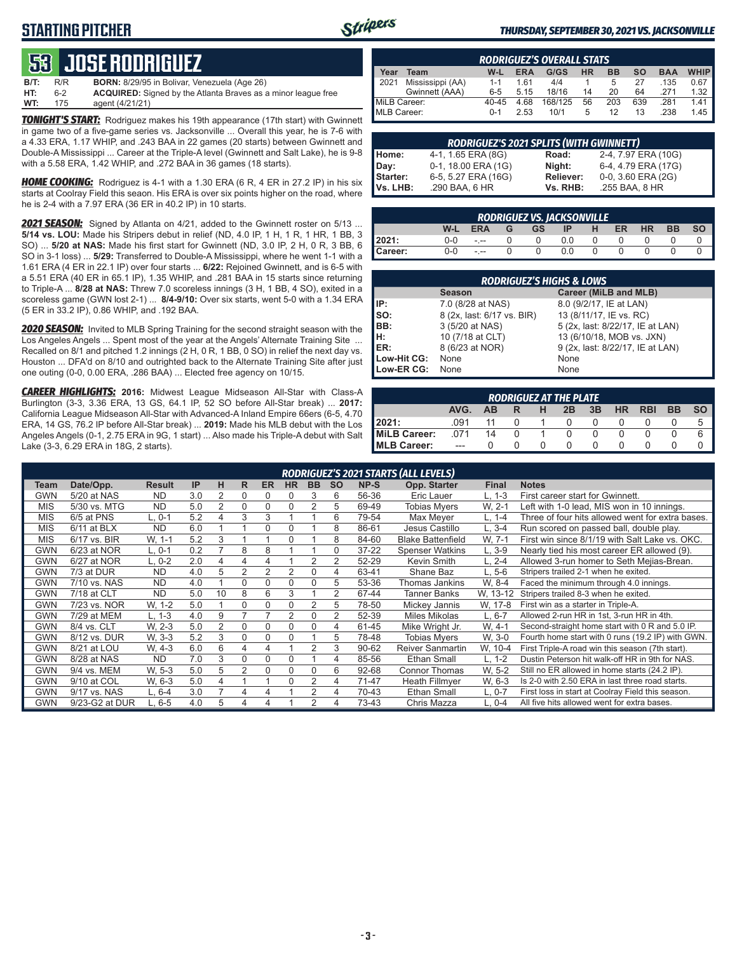# **STARTING PITCHER**



#### *THURSDAY, SEPTEMBER 30, 2021 VS. JACKSONVILLE*

# **53****JOSE RODRIGUEZ**

| B/T: | R/R | <b>BORN:</b> 8/29/95 in Bolivar, Venezuela (Age 26)                  |
|------|-----|----------------------------------------------------------------------|
| HT:  | հ-2 | <b>ACQUIRED:</b> Signed by the Atlanta Braves as a minor league free |
| WT:  | 175 | agent (4/21/21)                                                      |

*TONIGHT'S START:* Rodriguez makes his 19th appearance (17th start) with Gwinnett in game two of a five-game series vs. Jacksonville ... Overall this year, he is 7-6 with a 4.33 ERA, 1.17 WHIP, and .243 BAA in 22 games (20 starts) between Gwinnett and Double-A Mississippi ... Career at the Triple-A level (Gwinnett and Salt Lake), he is 9-8 with a 5.58 ERA, 1.42 WHIP, and .272 BAA in 36 games (18 starts).

*HOME COOKING:* Rodriguez is 4-1 with a 1.30 ERA (6 R, 4 ER in 27.2 IP) in his six starts at Coolray Field this seaon. His ERA is over six points higher on the road, where he is 2-4 with a 7.97 ERA (36 ER in 40.2 IP) in 10 starts.

*2021 SEASON:* Signed by Atlanta on 4/21, added to the Gwinnett roster on 5/13 ... **5/14 vs. LOU:** Made his Stripers debut in relief (ND, 4.0 IP, 1 H, 1 R, 1 HR, 1 BB, 3 SO) ... **5/20 at NAS:** Made his first start for Gwinnett (ND, 3.0 IP, 2 H, 0 R, 3 BB, 6 SO in 3-1 loss) ... **5/29:** Transferred to Double-A Mississippi, where he went 1-1 with a 1.61 ERA (4 ER in 22.1 IP) over four starts ... **6/22:** Rejoined Gwinnett, and is 6-5 with a 5.51 ERA (40 ER in 65.1 IP), 1.35 WHIP, and .281 BAA in 15 starts since returning to Triple-A ... **8/28 at NAS:** Threw 7.0 scoreless innings (3 H, 1 BB, 4 SO), exited in a scoreless game (GWN lost 2-1) ... **8/4-9/10:** Over six starts, went 5-0 with a 1.34 ERA (5 ER in 33.2 IP), 0.86 WHIP, and .192 BAA.

*2020 SEASON:* Invited to MLB Spring Training for the second straight season with the Los Angeles Angels ... Spent most of the year at the Angels' Alternate Training Site ... Recalled on 8/1 and pitched 1.2 innings (2 H, 0 R, 1 BB, 0 SO) in relief the next day vs. Houston ... DFA'd on 8/10 and outrighted back to the Alternate Training Site after just one outing (0-0, 0.00 ERA, .286 BAA) ... Elected free agency on 10/15.

*CAREER HIGHLIGHTS:* **2016:** Midwest League Midseason All-Star with Class-A Burlington (3-3, 3.36 ERA, 13 GS, 64.1 IP, 52 SO before All-Star break) ... **2017:** California League Midseason All-Star with Advanced-A Inland Empire 66ers (6-5, 4.70 ERA, 14 GS, 76.2 IP before All-Star break) ... **2019:** Made his MLB debut with the Los Angeles Angels (0-1, 2.75 ERA in 9G, 1 start) ... Also made his Triple-A debut with Salt Lake (3-3, 6.29 ERA in 18G, 2 starts).

|              | <b>RODRIGUEZ'S OVERALL STATS</b> |           |            |         |           |           |           |            |             |  |  |  |  |
|--------------|----------------------------------|-----------|------------|---------|-----------|-----------|-----------|------------|-------------|--|--|--|--|
| Year         | Team                             | W-L       | <b>ERA</b> | G/GS    | <b>HR</b> | <b>BB</b> | <b>SO</b> | <b>BAA</b> | <b>WHIP</b> |  |  |  |  |
| 2021         | Mississippi (AA)                 | $1 - 1$   | 161        | 4/4     |           | 5         | 27        | .135       | 0.67        |  |  |  |  |
|              | Gwinnett (AAA)                   | $6 - 5$   | 5.15       | 18/16   | 14        | 20        | 64        | 271        | $1.32$ I    |  |  |  |  |
| MiLB Career: |                                  | $40 - 45$ | 4.68       | 168/125 | 56        | 203       | 639       | .281       | 1.41        |  |  |  |  |
| MLB Career:  |                                  | $0 - 1$   | 2.53       | 10/1    | 5         | 12        | 13        | .238       | 1.45        |  |  |  |  |

|          | <b>RODRIGUEZ'S 2021 SPLITS (WITH GWINNETT)</b> |           |                     |
|----------|------------------------------------------------|-----------|---------------------|
| Home:    | 4-1, 1.65 ERA (8G)                             | Road:     | 2-4, 7.97 ERA (10G) |
| Day:     | 0-1, 18.00 ERA (1G)                            | Night:    | 6-4, 4.79 ERA (17G) |
| Starter: | 6-5, 5.27 ERA (16G)                            | Reliever: | 0-0, 3.60 ERA (2G)  |
| Vs. LHB: | .290 BAA, 6 HR                                 | Vs. RHB:  | .255 BAA, 8 HR      |

| <b>RODRIGUEZ VS. JACKSONVILLE</b> |         |               |  |           |     |   |           |           |           |    |  |  |
|-----------------------------------|---------|---------------|--|-----------|-----|---|-----------|-----------|-----------|----|--|--|
|                                   | W-L     | <b>ERA</b>    |  | <b>GS</b> | IP  | н | <b>ER</b> | <b>HR</b> | <b>BB</b> | SΟ |  |  |
| 2021:                             | ი-ი     | - --          |  |           | 0.0 |   |           |           |           |    |  |  |
| Career:                           | $0 - 0$ | $\frac{1}{2}$ |  |           |     |   |           |           |           |    |  |  |

| <b>RODRIGUEZ'S HIGHS &amp; LOWS</b> |                            |                                  |  |  |  |  |  |  |  |  |  |
|-------------------------------------|----------------------------|----------------------------------|--|--|--|--|--|--|--|--|--|
|                                     | <b>Season</b>              | Career (MiLB and MLB)            |  |  |  |  |  |  |  |  |  |
| IP:                                 | 7.0 (8/28 at NAS)          | 8.0 (9/2/17, IE at LAN)          |  |  |  |  |  |  |  |  |  |
| Iso:                                | 8 (2x, last: 6/17 vs. BIR) | 13 (8/11/17, IE vs. RC)          |  |  |  |  |  |  |  |  |  |
| BB:                                 | 3 (5/20 at NAS)            | 5 (2x, last: 8/22/17, IE at LAN) |  |  |  |  |  |  |  |  |  |
| Iн:                                 | 10 (7/18 at CLT)           | 13 (6/10/18, MOB vs. JXN)        |  |  |  |  |  |  |  |  |  |
| <b>IER:</b>                         | 8 (6/23 at NOR)            | 9 (2x, last: 8/22/17, IE at LAN) |  |  |  |  |  |  |  |  |  |
| Low-Hit CG:                         | None                       | None                             |  |  |  |  |  |  |  |  |  |
| Low-ER CG:                          | None                       | None                             |  |  |  |  |  |  |  |  |  |

|                                                                            | <b>RODRIGUEZ AT THE PLATE</b> |    |  |  |  |  |  |  |  |  |  |  |  |
|----------------------------------------------------------------------------|-------------------------------|----|--|--|--|--|--|--|--|--|--|--|--|
| AVG.<br>3B<br><b>BB</b><br><b>HR</b><br><b>RBI</b><br>н<br>2B<br><b>AB</b> |                               |    |  |  |  |  |  |  |  |  |  |  |  |
| 2021:                                                                      | 091                           |    |  |  |  |  |  |  |  |  |  |  |  |
| MiLB Career:                                                               | 071                           | 14 |  |  |  |  |  |  |  |  |  |  |  |
| <b>IMLB Career:</b>                                                        | ---                           |    |  |  |  |  |  |  |  |  |  |  |  |

|            | RODRIGUEZ'S 2021 STARTS (ALL LEVELS) |               |     |                |   |           |                |                |                |           |                          |              |                                                   |
|------------|--------------------------------------|---------------|-----|----------------|---|-----------|----------------|----------------|----------------|-----------|--------------------------|--------------|---------------------------------------------------|
| Team       | Date/Opp.                            | <b>Result</b> | IP  | н              | R | <b>ER</b> | <b>HR</b>      | <b>BB</b>      | <b>SO</b>      | NP-S      | Opp. Starter             | <b>Final</b> | <b>Notes</b>                                      |
| GWN        | 5/20 at NAS                          | <b>ND</b>     | 3.0 | 2              | 0 | $\Omega$  | $\Omega$       | 3              | 6              | 56-36     | Eric Lauer               | L, 1-3       | First career start for Gwinnett.                  |
| <b>MIS</b> | 5/30 vs. MTG                         | <b>ND</b>     | 5.0 | $\overline{2}$ | 0 | $\Omega$  | $\Omega$       | 2              | 5              | 69-49     | Tobias Mvers             | W. 2-1       | Left with 1-0 lead, MIS won in 10 innings.        |
| <b>MIS</b> | 6/5 at PNS                           | L. 0-1        | 5.2 |                | 3 | 3         |                |                | 6              | 79-54     | Max Mever                | L. 1-4       | Three of four hits allowed went for extra bases.  |
| <b>MIS</b> | 6/11 at BLX                          | <b>ND</b>     | 6.0 |                |   | 0         | $\Omega$       |                | 8              | 86-61     | Jesus Castillo           | $L, 3-4$     | Run scored on passed ball, double play.           |
| <b>MIS</b> | 6/17 vs. BIR                         | W. 1-1        | 5.2 | 3              |   |           | $\Omega$       |                | 8              | 84-60     | <b>Blake Battenfield</b> | W. 7-1       | First win since 8/1/19 with Salt Lake vs. OKC.    |
| GWN        | 6/23 at NOR                          | L. 0-1        | 0.2 |                | 8 | 8         |                |                | 0              | $37 - 22$ | <b>Spenser Watkins</b>   | $L.3-9$      | Nearly tied his most career ER allowed (9).       |
| <b>GWN</b> | 6/27 at NOR                          | L, 0-2        | 2.0 | 4              | 4 | 4         |                | 2              | 2              | 52-29     | Kevin Smith              | L, 2-4       | Allowed 3-run homer to Seth Mejias-Brean.         |
| <b>GWN</b> | 7/3 at DUR                           | <b>ND</b>     | 4.0 | 5              | 2 | 2         | $\overline{2}$ | 0              | 4              | 63-41     | Shane Baz                | L. 5-6       | Stripers trailed 2-1 when he exited.              |
| GWN        | 7/10 vs. NAS                         | <b>ND</b>     | 4.0 |                | 0 | 0         | $\Omega$       | 0              | 5              | 53-36     | Thomas Jankins           | W. 8-4       | Faced the minimum through 4.0 innings.            |
| <b>GWN</b> | 7/18 at CLT                          | <b>ND</b>     | 5.0 | 10             | 8 | 6         | 3              |                | 2              | 67-44     | <b>Tanner Banks</b>      | W. 13-12     | Stripers trailed 8-3 when he exited.              |
| <b>GWN</b> | 7/23 vs. NOR                         | W. 1-2        | 5.0 |                | 0 | $\Omega$  | 0              | 2              | 5              | 78-50     | Mickey Jannis            | W, 17-8      | First win as a starter in Triple-A.               |
| <b>GWN</b> | 7/29 at MEM                          | $L. 1-3$      | 4.0 | 9              |   |           | 2              | $\Omega$       | $\overline{2}$ | 52-39     | Miles Mikolas            | $L, 6-7$     | Allowed 2-run HR in 1st, 3-run HR in 4th.         |
| <b>GWN</b> | 8/4 vs. CLT                          | W. 2-3        | 5.0 | $\overline{2}$ | 0 | $\Omega$  | $\Omega$       | 0              | 4              | 61-45     | Mike Wright Jr.          | W. 4-1       | Second-straight home start with 0 R and 5.0 IP.   |
| <b>GWN</b> | 8/12 vs. DUR                         | W. 3-3        | 5.2 | 3              | 0 | 0         | 0              |                | 5              | 78-48     | Tobias Mvers             | W. 3-0       | Fourth home start with 0 runs (19.2 IP) with GWN. |
| <b>GWN</b> | 8/21 at LOU                          | W. 4-3        | 6.0 | 6              | 4 | 4         |                | 2              | 3              | 90-62     | <b>Reiver Sanmartin</b>  | W. 10-4      | First Triple-A road win this season (7th start).  |
| <b>GWN</b> | 8/28 at NAS                          | <b>ND</b>     | 7.0 | 3              | 0 | $\Omega$  | $\Omega$       |                | 4              | 85-56     | <b>Ethan Small</b>       | $L, 1-2$     | Dustin Peterson hit walk-off HR in 9th for NAS.   |
| GWN        | 9/4 vs. MEM                          | W. 5-3        | 5.0 | 5              | 2 | 0         | $\Omega$       | 0              | 6              | 92-68     | <b>Connor Thomas</b>     | W. 5-2       | Still no ER allowed in home starts (24.2 IP).     |
| <b>GWN</b> | 9/10 at COL                          | W. 6-3        | 5.0 | 4              |   |           | $\Omega$       | 2              | 4              | 71-47     | Heath Fillmyer           | W, 6-3       | Is 2-0 with 2.50 ERA in last three road starts.   |
| <b>GWN</b> | 9/17 vs. NAS                         | L. 6-4        | 3.0 | 7              | 4 | 4         |                | 2              | 4              | 70-43     | <b>Ethan Small</b>       | $L, 0-7$     | First loss in start at Coolray Field this season. |
| <b>GWN</b> | 9/23-G2 at DUR                       | L, 6-5        | 4.0 | 5              | 4 | 4         |                | $\overline{2}$ | 4              | 73-43     | Chris Mazza              | $L, 0-4$     | All five hits allowed went for extra bases.       |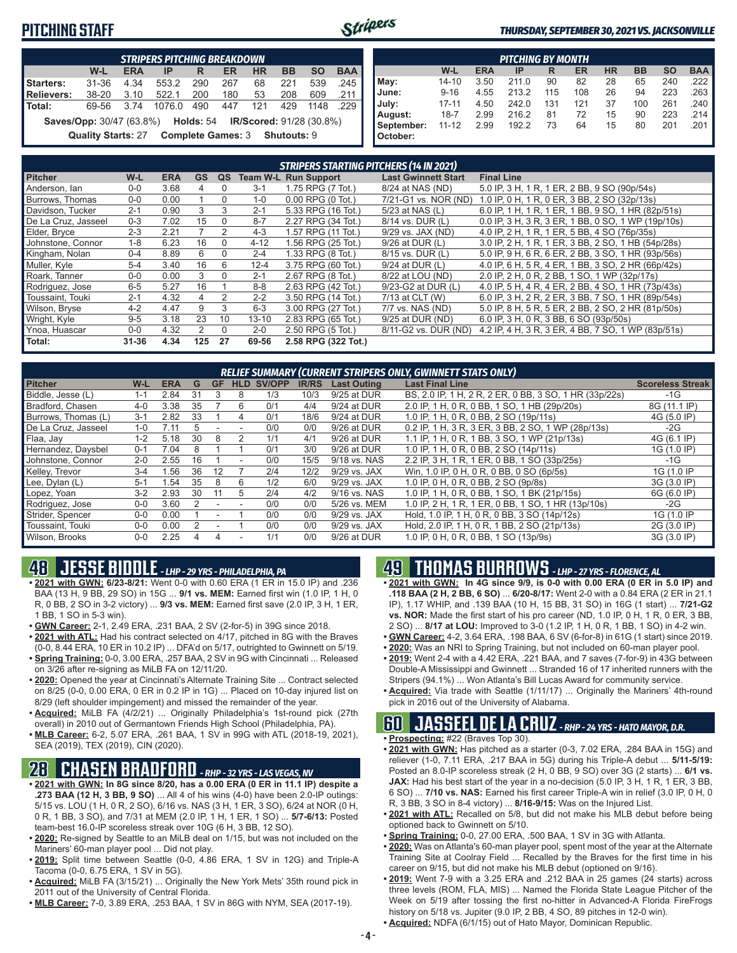### **PITCHING STAFF**



#### *THURSDAY, SEPTEMBER 30, 2021 VS. JACKSONVILLE*

|                                                                           | <b>STRIPERS PITCHING BREAKDOWN</b> |            |        |     |                               |           |           |           |            |  |  |  |
|---------------------------------------------------------------------------|------------------------------------|------------|--------|-----|-------------------------------|-----------|-----------|-----------|------------|--|--|--|
|                                                                           | W-L                                | <b>ERA</b> | IP     | R   | ER                            | <b>HR</b> | <b>BB</b> | <b>SO</b> | <b>BAA</b> |  |  |  |
| Starters:                                                                 | $31 - 36$                          | 4.34       | 553.2  | 290 | 267                           | 68        | 221       | 539       | .245       |  |  |  |
| Relievers:                                                                | $38 - 20$                          | 3.10       | 522.1  | 200 | 180                           | 53        | 208       | 609       | .211       |  |  |  |
| l Total:                                                                  | 69-56                              | 3 74       | 1076.0 | 490 | 447                           | 121       | 429       | 1148      | .229       |  |  |  |
| <b>Saves/Opp:</b> 30/47 (63.8%) <b>Holds: 54 IR/Scored: 91/28 (30.8%)</b> |                                    |            |        |     |                               |           |           |           |            |  |  |  |
|                                                                           | <b>Quality Starts: 27</b>          |            |        |     | Complete Games: 3 Shutouts: 9 |           |           |           |            |  |  |  |

| <b>PITCHING BY MONTH</b> |           |            |       |     |     |           |           |           |            |  |  |  |
|--------------------------|-----------|------------|-------|-----|-----|-----------|-----------|-----------|------------|--|--|--|
|                          | W-L       | <b>ERA</b> | IP    | R   | ER  | <b>HR</b> | <b>BB</b> | <b>SO</b> | <b>BAA</b> |  |  |  |
| May:                     | $14 - 10$ | 3.50       | 211.0 | 90  | 82  | 28        | 65        | 240       | .222       |  |  |  |
| June:                    | $9 - 16$  | 4.55       | 213.2 | 115 | 108 | 26        | 94        | 223       | .263       |  |  |  |
| July:                    | $17 - 11$ | 4.50       | 242.0 | 131 | 121 | 37        | 100       | 261       | .240       |  |  |  |
| August:                  | $18 - 7$  | 2.99       | 216.2 | 81  | 72  | 15        | 90        | 223       | .214       |  |  |  |
| September:               | $11 - 12$ | 2.99       | 192.2 | 73  | 64  | 15        | 80        | 201       | .201       |  |  |  |
| October:                 |           |            |       |     |     |           |           |           |            |  |  |  |

|                     | <b>STRIPERS STARTING PITCHERS (14 IN 2021)</b> |            |           |              |           |                             |                            |                                                    |  |  |  |  |  |
|---------------------|------------------------------------------------|------------|-----------|--------------|-----------|-----------------------------|----------------------------|----------------------------------------------------|--|--|--|--|--|
| <b>Pitcher</b>      | W-L                                            | <b>ERA</b> | <b>GS</b> | QS           |           | <b>Team W-L Run Support</b> | <b>Last Gwinnett Start</b> | <b>Final Line</b>                                  |  |  |  |  |  |
| Anderson, lan       | $0 - 0$                                        | 3.68       | 4         | 0            | $3 - 1$   | 1.75 RPG (7 Tot.)           | 8/24 at NAS (ND)           | 5.0 IP, 3 H, 1 R, 1 ER, 2 BB, 9 SO (90p/54s)       |  |  |  |  |  |
| Burrows, Thomas     | $0-0$                                          | 0.00       |           | 0            | 1-0       | $0.00$ RPG $(0$ Tot.)       | 7/21-G1 vs. NOR (ND)       | 1.0 IP, 0 H, 1 R, 0 ER, 3 BB, 2 SO (32p/13s)       |  |  |  |  |  |
| Davidson, Tucker    | $2 - 1$                                        | 0.90       | 3         | 3            | $2 - 1$   | 5.33 RPG (16 Tot.)          | 5/23 at NAS (L)            | 6.0 IP, 1 H, 1 R, 1 ER, 1 BB, 9 SO, 1 HR (82p/51s) |  |  |  |  |  |
| De La Cruz. Jasseel | $0 - 3$                                        | 7.02       | 15        | $\mathbf{0}$ | $8 - 7$   | 2.27 RPG (34 Tot.)          | 8/14 vs. DUR (L)           | 0.0 IP, 3 H, 3 R, 3 ER, 1 BB, 0 SO, 1 WP (19p/10s) |  |  |  |  |  |
| Elder, Brvce        | $2 - 3$                                        | 2.21       |           | 2            | 4-3       | 1.57 RPG (11 Tot.)          | $9/29$ vs. JAX (ND)        | 4.0 IP, 2 H, 1 R, 1 ER, 5 BB, 4 SO (76p/35s)       |  |  |  |  |  |
| Johnstone, Connor   | $1 - 8$                                        | 6.23       | 16        | $\Omega$     | $4 - 12$  | 1.56 RPG (25 Tot.)          | 9/26 at DUR (L)            | 3.0 IP, 2 H, 1 R, 1 ER, 3 BB, 2 SO, 1 HB (54p/28s) |  |  |  |  |  |
| Kingham, Nolan      | $0 - 4$                                        | 8.89       | 6         | $\Omega$     | $2 - 4$   | 1.33 RPG (8 Tot.)           | 8/15 vs. DUR (L)           | 5.0 IP, 9 H, 6 R, 6 ER, 2 BB, 3 SO, 1 HR (93p/56s) |  |  |  |  |  |
| Muller, Kyle        | $5 - 4$                                        | 3.40       | 16        | 6            | $12 - 4$  | 3.75 RPG (60 Tot.)          | 9/24 at DUR (L)            | 4.0 IP, 6 H, 5 R, 4 ER, 1 BB, 3 SO, 2 HR (66p/42s) |  |  |  |  |  |
| Roark. Tanner       | $0-0$                                          | 0.00       | 3         | $\Omega$     | $2 - 1$   | 2.67 RPG (8 Tot.)           | 8/22 at LOU (ND)           | 2.0 IP, 2 H, 0 R, 2 BB, 1 SO, 1 WP (32p/17s)       |  |  |  |  |  |
| Rodriguez, Jose     | $6 - 5$                                        | 5.27       | 16        |              | $8 - 8$   | 2.63 RPG (42 Tot.)          | 9/23-G2 at DUR (L)         | 4.0 IP, 5 H, 4 R, 4 ER, 2 BB, 4 SO, 1 HR (73p/43s) |  |  |  |  |  |
| Toussaint. Touki    | $2 - 1$                                        | 4.32       | 4         | 2            | $2 - 2$   | 3.50 RPG (14 Tot.)          | 7/13 at CLT (W)            | 6.0 IP, 3 H, 2 R, 2 ER, 3 BB, 7 SO, 1 HR (89p/54s) |  |  |  |  |  |
| Wilson, Bryse       | $4 - 2$                                        | 4.47       | 9         | 3            | $6 - 3$   | 3.00 RPG (27 Tot.)          | 7/7 vs. NAS (ND)           | 5.0 IP, 8 H, 5 R, 5 ER, 2 BB, 2 SO, 2 HR (81p/50s) |  |  |  |  |  |
| Wright, Kyle        | $9 - 5$                                        | 3.18       | 23        | 10           | $13 - 10$ | 2.83 RPG (65 Tot.)          | 9/25 at DUR (ND)           | 6.0 IP, 3 H, 0 R, 3 BB, 6 SO (93p/50s)             |  |  |  |  |  |
| Ynoa, Huascar       | $0-0$                                          | 4.32       | 2         | $\Omega$     | $2 - 0$   | 2.50 RPG (5 Tot.)           | 8/11-G2 vs. DUR (ND)       | 4.2 IP, 4 H, 3 R, 3 ER, 4 BB, 7 SO, 1 WP (83p/51s) |  |  |  |  |  |
| Total:              | $31 - 36$                                      | 4.34       | 125       | 27           | 69-56     | 2.58 RPG (322 Tot.)         |                            |                                                    |  |  |  |  |  |

|                     | <b>RELIEF SUMMARY (CURRENT STRIPERS ONLY, GWINNETT STATS ONLY)</b> |            |    |           |            |        |              |                    |                                                        |                         |  |  |  |
|---------------------|--------------------------------------------------------------------|------------|----|-----------|------------|--------|--------------|--------------------|--------------------------------------------------------|-------------------------|--|--|--|
| <b>Pitcher</b>      | W-L                                                                | <b>ERA</b> | G  | <b>GF</b> | <b>HLD</b> | SV/OPP | <b>IR/RS</b> | <b>Last Outing</b> | <b>Last Final Line</b>                                 | <b>Scoreless Streak</b> |  |  |  |
| Biddle, Jesse (L)   | 1-1                                                                | 2.84       | 31 |           | 8          | 1/3    | 10/3         | 9/25 at DUR        | BS, 2.0 IP, 1 H, 2 R, 2 ER, 0 BB, 3 SO, 1 HR (33p/22s) | $-1G$                   |  |  |  |
| Bradford, Chasen    | $4 - 0$                                                            | 3.38       | 35 |           | 6          | 0/1    | 4/4          | 9/24 at DUR        | 2.0 IP, 1 H, 0 R, 0 BB, 1 SO, 1 HB (29p/20s)           | 8G (11.1 IP)            |  |  |  |
| Burrows, Thomas (L) | $3 - 1$                                                            | 2.82       | 33 |           |            | 0/1    | 18/6         | 9/24 at DUR        | 1.0 IP, 1 H, 0 R, 0 BB, 2 SO (19p/11s)                 | 4G (5.0 IP)             |  |  |  |
| De La Cruz. Jasseel | $1 - 0$                                                            | 7.11       | h. |           |            | 0/0    | 0/0          | 9/26 at DUR        | 0.2 IP, 1 H, 3 R, 3 ER, 3 BB, 2 SO, 1 WP (28p/13s)     | $-2G$                   |  |  |  |
| Flaa, Jay           | $1 - 2$                                                            | 5.18       | 30 | 8         |            | 1/1    | 4/1          | 9/26 at DUR        | 1.1 IP, 1 H, 0 R, 1 BB, 3 SO, 1 WP (21p/13s)           | 4G (6.1 IP)             |  |  |  |
| Hernandez, Daysbel  | $0 - 1$                                                            | 7.04       | 8  |           |            | 0/1    | 3/0          | 9/26 at DUR        | 1.0 IP. 1 H. 0 R. 0 BB. 2 SO (14p/11s)                 | 1G (1.0 IP)             |  |  |  |
| Johnstone, Connor   | $2 - 0$                                                            | 2.55       | 16 |           |            | 0/0    | 15/5         | 9/18 vs. NAS       | 2.2 IP, 3 H, 1 R, 1 ER, 0 BB, 1 SO (33p/25s)           | -1G                     |  |  |  |
| Kelley, Trevor      | $3 - 4$                                                            | .56        | 36 | 12        |            | 2/4    | 12/2         | 9/29 vs. JAX       | Win. 1.0 IP. 0 H. 0 R. 0 BB. 0 SO (6p/5s)              | 1G (1.0 IP              |  |  |  |
| Lee, Dylan (L)      | $5 - 1$                                                            | .54        | 35 | 8         | 6          | 1/2    | 6/0          | 9/29 vs. JAX       | 1.0 IP, 0 H, 0 R, 0 BB, 2 SO (9p/8s)                   | 3G (3.0 IP)             |  |  |  |
| Lopez, Yoan         | $3-2$                                                              | 2.93       | 30 | 11        | 5          | 2/4    | 4/2          | 9/16 vs. NAS       | 1.0 IP, 1 H, 0 R, 0 BB, 1 SO, 1 BK (21p/15s)           | 6G (6.0 IP)             |  |  |  |
| Rodriguez, Jose     | $0-0$                                                              | 3.60       |    |           |            | 0/0    | 0/0          | 5/26 vs. MEM       | 1.0 IP, 2 H, 1 R, 1 ER, 0 BB, 1 SO, 1 HR (13p/10s)     | -2G                     |  |  |  |
| Strider, Spencer    | $0 - 0$                                                            | 0.00       |    |           |            | 0/0    | 0/0          | 9/29 vs. JAX       | Hold, 1.0 IP, 1 H, 0 R, 0 BB, 3 SO (14p/12s)           | 1G (1.0 IP              |  |  |  |
| Toussaint, Touki    | $0 - 0$                                                            | 0.00       |    |           |            | 0/0    | 0/0          | 9/29 vs. JAX       | Hold, 2.0 IP, 1 H, 0 R, 1 BB, 2 SO (21p/13s)           | 2G (3.0 IP)             |  |  |  |
| Wilson, Brooks      | $0 - 0$                                                            | 2.25       |    | 4         |            | 1/1    | 0/0          | 9/26 at DUR        | 1.0 IP, 0 H, 0 R, 0 BB, 1 SO (13p/9s)                  | 3G (3.0 IP)             |  |  |  |

# **48 JESSE BIDDLE** *- LHP - 29 YRS - PHILADELPHIA, PA*

- **• 2021 with GWN: 6/23-8/21:** Went 0-0 with 0.60 ERA (1 ER in 15.0 IP) and .236 BAA (13 H, 9 BB, 29 SO) in 15G ... **9/1 vs. MEM:** Earned first win (1.0 IP, 1 H, 0 R, 0 BB, 2 SO in 3-2 victory) ... **9/3 vs. MEM:** Earned first save (2.0 IP, 3 H, 1 ER, 1 BB, 1 SO in 5-3 win).
- **• GWN Career:** 2-1, 2.49 ERA, .231 BAA, 2 SV (2-for-5) in 39G since 2018.
- **• 2021 with ATL:** Had his contract selected on 4/17, pitched in 8G with the Braves (0-0, 8.44 ERA, 10 ER in 10.2 IP) ... DFA'd on 5/17, outrighted to Gwinnett on 5/19.
- **• Spring Training:** 0-0, 3.00 ERA, .257 BAA, 2 SV in 9G with Cincinnati ... Released on 3/26 after re-signing as MiLB FA on 12/11/20.
- **• 2020:** Opened the year at Cincinnati's Alternate Training Site ... Contract selected on 8/25 (0-0, 0.00 ERA, 0 ER in 0.2 IP in 1G) ... Placed on 10-day injured list on 8/29 (left shoulder impingement) and missed the remainder of the year.
- **• Acquired:** MiLB FA (4/2/21) ... Originally Philadelphia's 1st-round pick (27th overall) in 2010 out of Germantown Friends High School (Philadelphia, PA).
- **• MLB Career:** 6-2, 5.07 ERA, .261 BAA, 1 SV in 99G with ATL (2018-19, 2021), SEA (2019), TEX (2019), CIN (2020).

### **28 CHASEN BRADFORD** *- RHP - 32 YRS - LAS VEGAS, NV*

- **• 2021 with GWN: In 8G since 8/20, has a 0.00 ERA (0 ER in 11.1 IP) despite a .273 BAA (12 H, 3 BB, 9 SO)** ... All 4 of his wins (4-0) have been 2.0-IP outings: 5/15 vs. LOU (1 H, 0 R, 2 SO), 6/16 vs. NAS (3 H, 1 ER, 3 SO), 6/24 at NOR (0 H, 0 R, 1 BB, 3 SO), and 7/31 at MEM (2.0 IP, 1 H, 1 ER, 1 SO) ... **5/7-6/13:** Posted team-best 16.0-IP scoreless streak over 10G (6 H, 3 BB, 12 SO).
- **• 2020:** Re-signed by Seattle to an MiLB deal on 1/15, but was not included on the Mariners' 60-man player pool ... Did not play.
- **• 2019:** Split time between Seattle (0-0, 4.86 ERA, 1 SV in 12G) and Triple-A Tacoma (0-0, 6.75 ERA, 1 SV in 5G).
- **• Acquired:** MiLB FA (3/15/21) ... Originally the New York Mets' 35th round pick in 2011 out of the University of Central Florida.
- **• MLB Career:** 7-0, 3.89 ERA, .253 BAA, 1 SV in 86G with NYM, SEA (2017-19).

### **49 THOMAS BURROWS** *- LHP - 27 YRS - FLORENCE, AL*

- **• 2021 with GWN: In 4G since 9/9, is 0-0 with 0.00 ERA (0 ER in 5.0 IP) and .118 BAA (2 H, 2 BB, 6 SO)** ... **6/20-8/17:** Went 2-0 with a 0.84 ERA (2 ER in 21.1 IP), 1.17 WHIP, and .139 BAA (10 H, 15 BB, 31 SO) in 16G (1 start) ... **7/21-G2 vs. NOR:** Made the first start of his pro career (ND, 1.0 IP, 0 H, 1 R, 0 ER, 3 BB, 2 SO) ... **8/17 at LOU:** Improved to 3-0 (1.2 IP, 1 H, 0 R, 1 BB, 1 SO) in 4-2 win.
- **• GWN Career:** 4-2, 3.64 ERA, .198 BAA, 6 SV (6-for-8) in 61G (1 start) since 2019.
- **• 2020:** Was an NRI to Spring Training, but not included on 60-man player pool. **• 2019:** Went 2-4 with a 4.42 ERA, .221 BAA, and 7 saves (7-for-9) in 43G between Double-A Mississippi and Gwinnett ... Stranded 16 of 17 inherited runners with the Stripers (94.1%) ... Won Atlanta's Bill Lucas Award for community service.
- **• Acquired:** Via trade with Seattle (1/11/17) ... Originally the Mariners' 4th-round pick in 2016 out of the University of Alabama.

### **60 JASSEEL DE LA CRUZ** *- RHP - 24 YRS - HATO MAYOR, D.R.*

- **• Prospecting:** #22 (Braves Top 30).
- **• 2021 with GWN:** Has pitched as a starter (0-3, 7.02 ERA, .284 BAA in 15G) and reliever (1-0, 7.11 ERA, .217 BAA in 5G) during his Triple-A debut ... **5/11-5/19:** Posted an 8.0-IP scoreless streak (2 H, 0 BB, 9 SO) over 3G (2 starts) ... **6/1 vs. JAX:** Had his best start of the year in a no-decision (5.0 IP, 3 H, 1 R, 1 ER, 3 BB, 6 SO) ... **7/10 vs. NAS:** Earned his first career Triple-A win in relief (3.0 IP, 0 H, 0 R, 3 BB, 3 SO in 8-4 victory) ... **8/16-9/15:** Was on the Injured List.
- **• 2021 with ATL:** Recalled on 5/8, but did not make his MLB debut before being optioned back to Gwinnett on 5/10.
- **• Spring Training:** 0-0, 27.00 ERA, .500 BAA, 1 SV in 3G with Atlanta.
- **• 2020:** Was on Atlanta's 60-man player pool, spent most of the year at the Alternate Training Site at Coolray Field ... Recalled by the Braves for the first time in his career on 9/15, but did not make his MLB debut (optioned on 9/16).
- **• 2019:** Went 7-9 with a 3.25 ERA and .212 BAA in 25 games (24 starts) across three levels (ROM, FLA, MIS) ... Named the Florida State League Pitcher of the Week on 5/19 after tossing the first no-hitter in Advanced-A Florida FireFrogs history on 5/18 vs. Jupiter (9.0 IP, 2 BB, 4 SO, 89 pitches in 12-0 win).
- **• Acquired:** NDFA (6/1/15) out of Hato Mayor, Dominican Republic.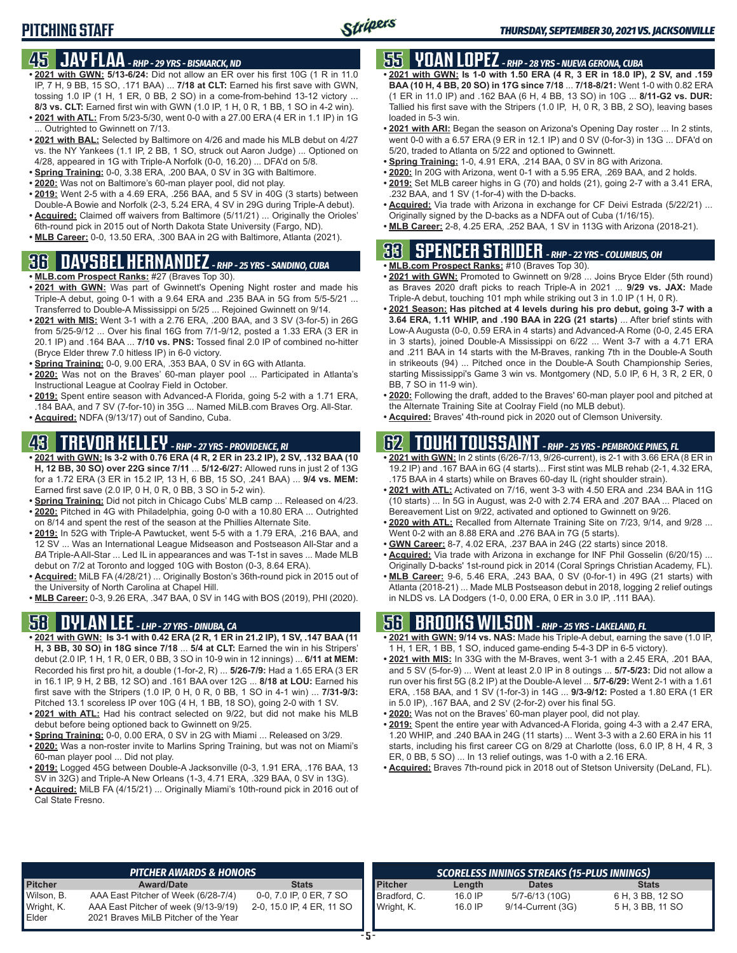# **PITCHING STAFF**

### **45 JAY FLAA** *- RHP - 29 YRS - BISMARCK, ND*

- **• 2021 with GWN: 5/13-6/24:** Did not allow an ER over his first 10G (1 R in 11.0 IP, 7 H, 9 BB, 15 SO, .171 BAA) ... **7/18 at CLT:** Earned his first save with GWN, tossing 1.0 IP (1 H, 1 ER, 0 BB, 2 SO) in a come-from-behind 13-12 victory ... **8/3 vs. CLT:** Earned first win with GWN (1.0 IP, 1 H, 0 R, 1 BB, 1 SO in 4-2 win).
- **• 2021 with ATL:** From 5/23-5/30, went 0-0 with a 27.00 ERA (4 ER in 1.1 IP) in 1G ... Outrighted to Gwinnett on 7/13.
- **• 2021 with BAL:** Selected by Baltimore on 4/26 and made his MLB debut on 4/27 vs. the NY Yankees (1.1 IP, 2 BB, 1 SO, struck out Aaron Judge) ... Optioned on 4/28, appeared in 1G with Triple-A Norfolk (0-0, 16.20) ... DFA'd on 5/8.
- **• Spring Training:** 0-0, 3.38 ERA, .200 BAA, 0 SV in 3G with Baltimore.
- **• 2020:** Was not on Baltimore's 60-man player pool, did not play.
- **• 2019:** Went 2-5 with a 4.69 ERA, .256 BAA, and 5 SV in 40G (3 starts) between Double-A Bowie and Norfolk (2-3, 5.24 ERA, 4 SV in 29G during Triple-A debut).
- **• Acquired:** Claimed off waivers from Baltimore (5/11/21) ... Originally the Orioles' 6th-round pick in 2015 out of North Dakota State University (Fargo, ND).
- **• MLB Career:** 0-0, 13.50 ERA, .300 BAA in 2G with Baltimore, Atlanta (2021).

# **36 DAYSBEL HERNANDEZ** *- RHP - 25 YRS - SANDINO, CUBA*

- **• MLB.com Prospect Ranks:** #27 (Braves Top 30).
- **• 2021 with GWN:** Was part of Gwinnett's Opening Night roster and made his Triple-A debut, going 0-1 with a 9.64 ERA and .235 BAA in 5G from 5/5-5/21 ... Transferred to Double-A Mississippi on 5/25 ... Rejoined Gwinnett on 9/14.
- **• 2021 with MIS:** Went 3-1 with a 2.76 ERA, .200 BAA, and 3 SV (3-for-5) in 26G from 5/25-9/12 ... Over his final 16G from 7/1-9/12, posted a 1.33 ERA (3 ER in 20.1 IP) and .164 BAA ... **7/10 vs. PNS:** Tossed final 2.0 IP of combined no-hitter (Bryce Elder threw 7.0 hitless IP) in 6-0 victory.
- **• Spring Training:** 0-0, 9.00 ERA, .353 BAA, 0 SV in 6G with Atlanta.
- **• 2020:** Was not on the Braves' 60-man player pool ... Participated in Atlanta's Instructional League at Coolray Field in October.
- **• 2019:** Spent entire season with Advanced-A Florida, going 5-2 with a 1.71 ERA, .184 BAA, and 7 SV (7-for-10) in 35G ... Named MiLB.com Braves Org. All-Star.
- **• Acquired:** NDFA (9/13/17) out of Sandino, Cuba.

# **43 TREVOR KELLEY** *- RHP - 27 YRS - PROVIDENCE, RI*

- **• 2021 with GWN: Is 3-2 with 0.76 ERA (4 R, 2 ER in 23.2 IP), 2 SV, .132 BAA (10 H, 12 BB, 30 SO) over 22G since 7/11** ... **5/12-6/27:** Allowed runs in just 2 of 13G for a 1.72 ERA (3 ER in 15.2 IP, 13 H, 6 BB, 15 SO, .241 BAA) ... **9/4 vs. MEM:** Earned first save (2.0 IP, 0 H, 0 R, 0 BB, 3 SO in 5-2 win).
- **• Spring Training:** Did not pitch in Chicago Cubs' MLB camp ... Released on 4/23.
- **• 2020:** Pitched in 4G with Philadelphia, going 0-0 with a 10.80 ERA ... Outrighted on 8/14 and spent the rest of the season at the Phillies Alternate Site.
- **• 2019:** In 52G with Triple-A Pawtucket, went 5-5 with a 1.79 ERA, .216 BAA, and 12 SV ... Was an International League Midseason and Postseason All-Star and a *BA* Triple-A All-Star ... Led IL in appearances and was T-1st in saves ... Made MLB debut on 7/2 at Toronto and logged 10G with Boston (0-3, 8.64 ERA).
- **• Acquired:** MiLB FA (4/28/21) ... Originally Boston's 36th-round pick in 2015 out of the University of North Carolina at Chapel Hill.
- **• MLB Career:** 0-3, 9.26 ERA, .347 BAA, 0 SV in 14G with BOS (2019), PHI (2020).

### **58 DYLAN LEE** *- LHP - 27 YRS - DINUBA, CA*

- **• 2021 with GWN: Is 3-1 with 0.42 ERA (2 R, 1 ER in 21.2 IP), 1 SV, .147 BAA (11 H, 3 BB, 30 SO) in 18G since 7/18** ... **5/4 at CLT:** Earned the win in his Stripers' debut (2.0 IP, 1 H, 1 R, 0 ER, 0 BB, 3 SO in 10-9 win in 12 innings) ... **6/11 at MEM:** Recorded his first pro hit, a double (1-for-2, R) ... **5/26-7/9:** Had a 1.65 ERA (3 ER in 16.1 IP, 9 H, 2 BB, 12 SO) and .161 BAA over 12G ... **8/18 at LOU:** Earned his first save with the Stripers (1.0 IP, 0 H, 0 R, 0 BB, 1 SO in 4-1 win) ... **7/31-9/3:** Pitched 13.1 scoreless IP over 10G (4 H, 1 BB, 18 SO), going 2-0 with 1 SV.
- **• 2021 with ATL:** Had his contract selected on 9/22, but did not make his MLB debut before being optioned back to Gwinnett on 9/25.
- **• Spring Training:** 0-0, 0.00 ERA, 0 SV in 2G with Miami ... Released on 3/29.
- **• 2020:** Was a non-roster invite to Marlins Spring Training, but was not on Miami's 60-man player pool ... Did not play.
- **• 2019:** Logged 45G between Double-A Jacksonville (0-3, 1.91 ERA, .176 BAA, 13 SV in 32G) and Triple-A New Orleans (1-3, 4.71 ERA, .329 BAA, 0 SV in 13G).
- **• Acquired:** MiLB FA (4/15/21) ... Originally Miami's 10th-round pick in 2016 out of Cal State Fresno.

# **55 YOAN LOPEZ** *- RHP - 28 YRS - NUEVA GERONA, CUBA*

- **• 2021 with GWN: Is 1-0 with 1.50 ERA (4 R, 3 ER in 18.0 IP), 2 SV, and .159 BAA (10 H, 4 BB, 20 SO) in 17G since 7/18** ... **7/18-8/21:** Went 1-0 with 0.82 ERA (1 ER in 11.0 IP) and .162 BAA (6 H, 4 BB, 13 SO) in 10G ... **8/11-G2 vs. DUR:** Tallied his first save with the Stripers (1.0 IP, H, 0 R, 3 BB, 2 SO), leaving bases loaded in 5-3 win.
- **• 2021 with ARI:** Began the season on Arizona's Opening Day roster ... In 2 stints, went 0-0 with a 6.57 ERA (9 ER in 12.1 IP) and 0 SV (0-for-3) in 13G ... DFA'd on 5/20, traded to Atlanta on 5/22 and optioned to Gwinnett.
- **• Spring Training:** 1-0, 4.91 ERA, .214 BAA, 0 SV in 8G with Arizona.
- **• 2020:** In 20G with Arizona, went 0-1 with a 5.95 ERA, .269 BAA, and 2 holds. **• 2019:** Set MLB career highs in G (70) and holds (21), going 2-7 with a 3.41 ERA,
- .232 BAA, and 1 SV (1-for-4) with the D-backs. **• Acquired:** Via trade with Arizona in exchange for CF Deivi Estrada (5/22/21) ...
- Originally signed by the D-backs as a NDFA out of Cuba (1/16/15). **• MLB Career:** 2-8, 4.25 ERA, .252 BAA, 1 SV in 113G with Arizona (2018-21).

# **33 SPENCER STRIDER** *- RHP - 22 YRS - COLUMBUS, OH*

- **• MLB.com Prospect Ranks:** #10 (Braves Top 30).
- **• 2021 with GWN:** Promoted to Gwinnett on 9/28 ... Joins Bryce Elder (5th round) as Braves 2020 draft picks to reach Triple-A in 2021 ... **9/29 vs. JAX:** Made Triple-A debut, touching 101 mph while striking out 3 in 1.0 IP (1 H, 0 R).
- **• 2021 Season: Has pitched at 4 levels during his pro debut, going 3-7 with a 3.64 ERA, 1.11 WHIP, and .190 BAA in 22G (21 starts)** ... After brief stints with Low-A Augusta (0-0, 0.59 ERA in 4 starts) and Advanced-A Rome (0-0, 2.45 ERA in 3 starts), joined Double-A Mississippi on 6/22 ... Went 3-7 with a 4.71 ERA and .211 BAA in 14 starts with the M-Braves, ranking 7th in the Double-A South in strikeouts (94) ... Pitched once in the Double-A South Championship Series, starting Mississippi's Game 3 win vs. Montgomery (ND, 5.0 IP, 6 H, 3 R, 2 ER, 0 BB, 7 SO in 11-9 win).
- **• 2020:** Following the draft, added to the Braves' 60-man player pool and pitched at the Alternate Training Site at Coolray Field (no MLB debut).
- **• Acquired:** Braves' 4th-round pick in 2020 out of Clemson University.

### **62 TOUKI TOUSSAINT** *- RHP - 25 YRS - PEMBROKE PINES, FL*

- **• 2021 with GWN:** In 2 stints (6/26-7/13, 9/26-current), is 2-1 with 3.66 ERA (8 ER in 19.2 IP) and .167 BAA in 6G (4 starts)... First stint was MLB rehab (2-1, 4.32 ERA, .175 BAA in 4 starts) while on Braves 60-day IL (right shoulder strain).
- **• 2021 with ATL:** Activated on 7/16, went 3-3 with 4.50 ERA and .234 BAA in 11G (10 starts) ... In 5G in August, was 2-0 with 2.74 ERA and .207 BAA ... Placed on Bereavement List on 9/22, activated and optioned to Gwinnett on 9/26.
- **• 2020 with ATL:** Recalled from Alternate Training Site on 7/23, 9/14, and 9/28 ... Went 0-2 with an 8.88 ERA and .276 BAA in 7G (5 starts).
- **• GWN Career:** 8-7, 4.02 ERA, .237 BAA in 24G (22 starts) since 2018.
- **• Acquired:** Via trade with Arizona in exchange for INF Phil Gosselin (6/20/15) ... Originally D-backs' 1st-round pick in 2014 (Coral Springs Christian Academy, FL).
- **• MLB Career:** 9-6, 5.46 ERA, .243 BAA, 0 SV (0-for-1) in 49G (21 starts) with Atlanta (2018-21) ... Made MLB Postseason debut in 2018, logging 2 relief outings in NLDS vs. LA Dodgers (1-0, 0.00 ERA, 0 ER in 3.0 IP, .111 BAA).

## **56 BROOKS WILSON** *- RHP - 25 YRS - LAKELAND, FL*

- **• 2021 with GWN: 9/14 vs. NAS:** Made his Triple-A debut, earning the save (1.0 IP, 1 H, 1 ER, 1 BB, 1 SO, induced game-ending 5-4-3 DP in 6-5 victory).
- **• 2021 with MIS:** In 33G with the M-Braves, went 3-1 with a 2.45 ERA, .201 BAA, and 5 SV (5-for-9) ... Went at least 2.0 IP in 8 outings ... **5/7-5/23:** Did not allow a run over his first 5G (8.2 IP) at the Double-A level ... **5/7-6/29:** Went 2-1 with a 1.61 ERA, .158 BAA, and 1 SV (1-for-3) in 14G ... **9/3-9/12:** Posted a 1.80 ERA (1 ER in 5.0 IP), .167 BAA, and 2 SV (2-for-2) over his final 5G.
- **• 2020:** Was not on the Braves' 60-man player pool, did not play.
- **• 2019:** Spent the entire year with Advanced-A Florida, going 4-3 with a 2.47 ERA, 1.20 WHIP, and .240 BAA in 24G (11 starts) ... Went 3-3 with a 2.60 ERA in his 11 starts, including his first career CG on 8/29 at Charlotte (loss, 6.0 IP, 8 H, 4 R, 3 ER, 0 BB, 5 SO) ... In 13 relief outings, was 1-0 with a 2.16 ERA.
- **• Acquired:** Braves 7th-round pick in 2018 out of Stetson University (DeLand, FL).

|                | <b>PITCHER AWARDS &amp; HONORS</b>   |                           |                | SCORELESS INNINGS STREAKS (15-PLUS INNINGS) |                   |                  |  |  |  |
|----------------|--------------------------------------|---------------------------|----------------|---------------------------------------------|-------------------|------------------|--|--|--|
| <b>Pitcher</b> | <b>Award/Date</b>                    | <b>Stats</b>              | <b>Pitcher</b> | Length                                      | <b>Dates</b>      | <b>Stats</b>     |  |  |  |
| Wilson, B.     | AAA East Pitcher of Week (6/28-7/4)  | 0-0, 7.0 IP, 0 ER, 7 SO   | Bradford, C.   | 16.0 IP                                     | 5/7-6/13 (10G)    | 6 H, 3 BB, 12 SO |  |  |  |
| Wright, K.     | AAA East Pitcher of week (9/13-9/19) | 2-0, 15.0 IP, 4 ER, 11 SO | Wright, K.     | 16.0 IP                                     | 9/14-Current (3G) | 5 H, 3 BB, 11 SO |  |  |  |
| Elder          | 2021 Braves MiLB Pitcher of the Year |                           |                |                                             |                   |                  |  |  |  |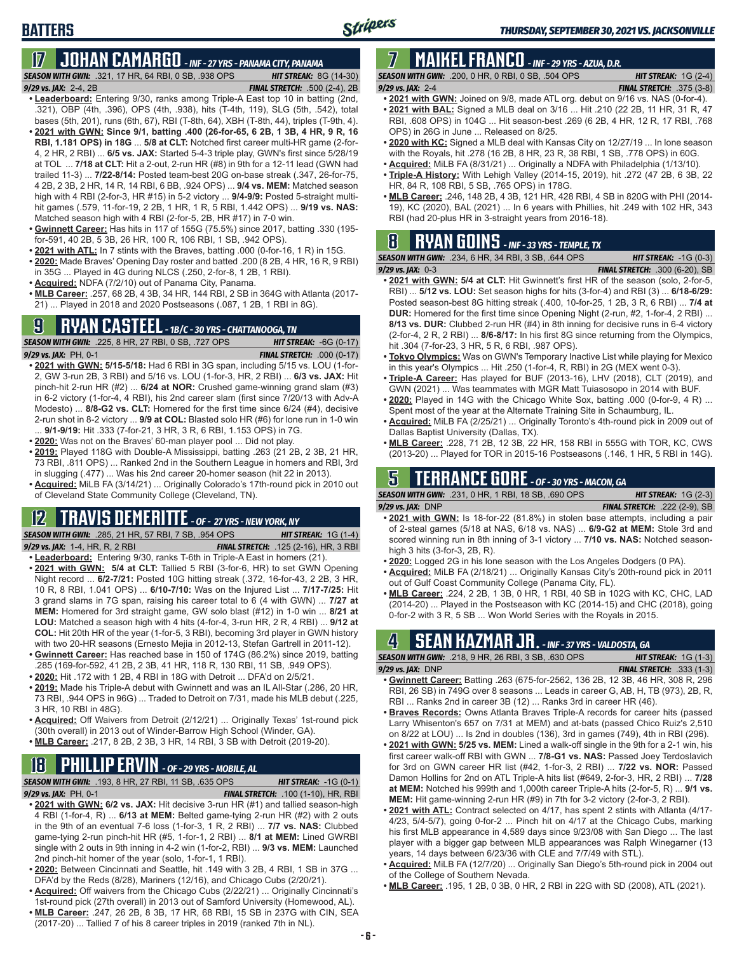**BATTERS**

# **17 JOHAN CAMARGO** *- INF - 27 YRS - PANAMA CITY, PANAMA*

*SEASON WITH GWN:*.321, 17 HR, 64 RBI, 0 SB, .938 OPS *HIT STREAK:* 8G (14-30) *9/29 vs. JAX:* 2-4, 2B *FINAL STRETCH:* .500 (2-4), 2B

- **• Leaderboard:** Entering 9/30, ranks among Triple-A East top 10 in batting (2nd, .321), OBP (4th, .396), OPS (4th, .938), hits (T-4th, 119), SLG (5th, .542), total bases (5th, 201), runs (6th, 67), RBI (T-8th, 64), XBH (T-8th, 44), triples (T-9th, 4). **• 2021 with GWN: Since 9/1, batting .400 (26-for-65, 6 2B, 1 3B, 4 HR, 9 R, 16 RBI, 1.181 OPS) in 18G** ... **5/8 at CLT:** Notched first career multi-HR game (2-for-4, 2 HR, 2 RBI) ... **6/5 vs. JAX:** Started 5-4-3 triple play, GWN's first since 5/28/19 at TOL ... **7/18 at CLT:** Hit a 2-out, 2-run HR (#8) in 9th for a 12-11 lead (GWN had trailed 11-3) ... **7/22-8/14:** Posted team-best 20G on-base streak (.347, 26-for-75, 4 2B, 2 3B, 2 HR, 14 R, 14 RBI, 6 BB, .924 OPS) ... **9/4 vs. MEM:** Matched season high with 4 RBI (2-for-3, HR #15) in 5-2 victory ... **9/4-9/9:** Posted 5-straight multihit games (.579, 11-for-19, 2 2B, 1 HR, 1 R, 5 RBI, 1.442 OPS) ... **9/19 vs. NAS:** Matched season high with 4 RBI (2-for-5, 2B, HR #17) in 7-0 win.
- **• Gwinnett Career:** Has hits in 117 of 155G (75.5%) since 2017, batting .330 (195 for-591, 40 2B, 5 3B, 26 HR, 100 R, 106 RBI, 1 SB, .942 OPS).
- **• 2021 with ATL:** In 7 stints with the Braves, batting .000 (0-for-16, 1 R) in 15G.
- **• 2020:** Made Braves' Opening Day roster and batted .200 (8 2B, 4 HR, 16 R, 9 RBI) in 35G ... Played in 4G during NLCS (.250, 2-for-8, 1 2B, 1 RBI).
- **• Acquired:** NDFA (7/2/10) out of Panama City, Panama.
- **• MLB Career:** .257, 68 2B, 4 3B, 34 HR, 144 RBI, 2 SB in 364G with Atlanta (2017- 21) ... Played in 2018 and 2020 Postseasons (.087, 1 2B, 1 RBI in 8G).

# **9 RYAN CASTEEL** *- 1B/C - 30 YRS - CHATTANOOGA, TN*

*SEASON WITH GWN:*.225, 8 HR, 27 RBI, 0 SB, .727 OPS *HIT STREAK:* -6G (0-17) *9/29 vs. JAX:*PH, 0-1 *FINAL STRETCH:* .000 (0-17)

- **• 2021 with GWN: 5/15-5/18:** Had 6 RBI in 3G span, including 5/15 vs. LOU (1-for-2, GW 3-run 2B, 3 RBI) and 5/16 vs. LOU (1-for-3, HR, 2 RBI) ... **6/3 vs. JAX:** Hit pinch-hit 2-run HR (#2) ... **6/24 at NOR:** Crushed game-winning grand slam (#3) in 6-2 victory (1-for-4, 4 RBI), his 2nd career slam (first since 7/20/13 with Adv-A Modesto) ... **8/8-G2 vs. CLT:** Homered for the first time since 6/24 (#4), decisive 2-run shot in 8-2 victory ... **9/9 at COL:** Blasted solo HR (#6) for lone run in 1-0 win ... **9/1-9/19:** Hit .333 (7-for-21, 3 HR, 3 R, 6 RBI, 1.153 OPS) in 7G.
- **• 2020:** Was not on the Braves' 60-man player pool ... Did not play.
- **• 2019:** Played 118G with Double-A Mississippi, batting .263 (21 2B, 2 3B, 21 HR, 73 RBI, .811 OPS) ... Ranked 2nd in the Southern League in homers and RBI, 3rd in slugging (.477) ... Was his 2nd career 20-homer season (hit 22 in 2013).
- **• Acquired:** MiLB FA (3/14/21) ... Originally Colorado's 17th-round pick in 2010 out of Cleveland State Community College (Cleveland, TN).

# **12 TRAVIS DEMERITTE** *- OF - 27 YRS - NEW YORK, NY*

*SEASON WITH GWN:*.285, 21 HR, 57 RBI, 7 SB, .954 OPS *HIT STREAK:* 1G (1-4) *9/29 vs. JAX:*1-4, HR, R, 2 RBI *FINAL STRETCH:* .125 (2-16), HR, 3 RBI

- **• Leaderboard:** Entering 9/30, ranks T-6th in Triple-A East in homers (21). **• 2021 with GWN: 5/4 at CLT:** Tallied 5 RBI (3-for-6, HR) to set GWN Opening Night record ... **6/2-7/21:** Posted 10G hitting streak (.372, 16-for-43, 2 2B, 3 HR, 10 R, 8 RBI, 1.041 OPS) ... **6/10-7/10:** Was on the Injured List ... **7/17-7/25:** Hit 3 grand slams in 7G span, raising his career total to 6 (4 with GWN) ... **7/27 at MEM:** Homered for 3rd straight game, GW solo blast (#12) in 1-0 win ... **8/21 at LOU:** Matched a season high with 4 hits (4-for-4, 3-run HR, 2 R, 4 RBI) ... **9/12 at COL:** Hit 20th HR of the year (1-for-5, 3 RBI), becoming 3rd player in GWN history with two 20-HR seasons (Ernesto Mejia in 2012-13, Stefan Gartrell in 2011-12).
- **• Gwinnett Career:** Has reached base in 150 of 174G (86.2%) since 2019, batting .285 (169-for-592, 41 2B, 2 3B, 41 HR, 118 R, 130 RBI, 11 SB, .949 OPS).
- **• 2020:** Hit .172 with 1 2B, 4 RBI in 18G with Detroit ... DFA'd on 2/5/21.
- **• 2019:** Made his Triple-A debut with Gwinnett and was an IL All-Star (.286, 20 HR, 73 RBI, .944 OPS in 96G) ... Traded to Detroit on 7/31, made his MLB debut (.225, 3 HR, 10 RBI in 48G).
- **• Acquired:** Off Waivers from Detroit (2/12/21) ... Originally Texas' 1st-round pick (30th overall) in 2013 out of Winder-Barrow High School (Winder, GA).
- **• MLB Career:** .217, 8 2B, 2 3B, 3 HR, 14 RBI, 3 SB with Detroit (2019-20).

# **18 PHILLIP ERVIN** *- OF - 29 YRS - MOBILE, AL*

*SEASON WITH GWN:*.193, 8 HR, 27 RBI, 11 SB, .635 OPS *HIT STREAK:* -1G (0-1)

- *9/29 vs. JAX:*PH, 0-1 *FINAL STRETCH:* .100 (1-10), HR, RBI
- **• 2021 with GWN: 6/2 vs. JAX:** Hit decisive 3-run HR (#1) and tallied season-high 4 RBI (1-for-4, R) ... **6/13 at MEM:** Belted game-tying 2-run HR (#2) with 2 outs in the 9th of an eventual 7-6 loss (1-for-3, 1 R, 2 RBI) ... **7/7 vs. NAS:** Clubbed game-tying 2-run pinch-hit HR (#5, 1-for-1, 2 RBI) ... **8/1 at MEM:** Lined GWRBI single with 2 outs in 9th inning in 4-2 win (1-for-2, RBI) ... **9/3 vs. MEM:** Launched 2nd pinch-hit homer of the year (solo, 1-for-1, 1 RBI).
- **• 2020:** Between Cincinnati and Seattle, hit .149 with 3 2B, 4 RBI, 1 SB in 37G ... DFA'd by the Reds (8/28), Mariners (12/16), and Chicago Cubs (2/20/21).
- **• Acquired:** Off waivers from the Chicago Cubs (2/22/21) ... Originally Cincinnati's 1st-round pick (27th overall) in 2013 out of Samford University (Homewood, AL).
- **• MLB Career:** .247, 26 2B, 8 3B, 17 HR, 68 RBI, 15 SB in 237G with CIN, SEA (2017-20) ... Tallied 7 of his 8 career triples in 2019 (ranked 7th in NL).

# **7 MAIKEL FRANCO** *- INF - 29 YRS - AZUA, D.R.*

*SEASON WITH GWN:*.200, 0 HR, 0 RBI, 0 SB, .504 OPS *HIT STREAK:* 1G (2-4) *9/29 vs. JAX:*2-4 *FINAL STRETCH:* .375 (3-8)

- **• 2021 with GWN:** Joined on 9/8, made ATL org. debut on 9/16 vs. NAS (0-for-4). **• 2021 with BAL:** Signed a MLB deal on 3/16 ... Hit .210 (22 2B, 11 HR, 31 R, 47 RBI, .608 OPS) in 104G ... Hit season-best .269 (6 2B, 4 HR, 12 R, 17 RBI, .768 OPS) in 26G in June ... Released on 8/25.
- **• 2020 with KC:** Signed a MLB deal with Kansas City on 12/27/19 ... In lone season with the Royals, hit .278 (16 2B, 8 HR, 23 R, 38 RBI, 1 SB, .778 OPS) in 60G.
- **• Acquired:** MiLB FA (8/31/21) ... Originally a NDFA with Philadelphia (1/13/10).
- **• Triple-A History:** With Lehigh Valley (2014-15, 2019), hit .272 (47 2B, 6 3B, 22 HR, 84 R, 108 RBI, 5 SB, .765 OPS) in 178G.
- **• MLB Career:** .246, 148 2B, 4 3B, 121 HR, 428 RBI, 4 SB in 820G with PHI (2014- 19), KC (2020), BAL (2021) ... In 6 years with Phillies, hit .249 with 102 HR, 343 RBI (had 20-plus HR in 3-straight years from 2016-18).

# **8 RYAN GOINS** *- INF - 33 YRS - TEMPLE, TX*

| <b>SEASON WITH GWN:</b> .234, 6 HR, 34 RBI, 3 SB, .644 OPS \ | <b>HIT STREAK:</b> $-1G(0-3)$    |
|--------------------------------------------------------------|----------------------------------|
| <b>9/29 vs. JAX:   0-3</b>                                   | FINAL STRETCH: $.300(6-20)$ , SB |
| $\mathcal{A}$                                                |                                  |

- **• 2021 with GWN: 5/4 at CLT:** Hit Gwinnett's first HR of the season (solo, 2-for-5, RBI) ... **5/12 vs. LOU:** Set season highs for hits (3-for-4) and RBI (3) ... **6/18-6/29:** Posted season-best 8G hitting streak (.400, 10-for-25, 1 2B, 3 R, 6 RBI) ... **7/4 at DUR:** Homered for the first time since Opening Night (2-run, #2, 1-for-4, 2 RBI) ... **8/13 vs. DUR:** Clubbed 2-run HR (#4) in 8th inning for decisive runs in 6-4 victory (2-for-4, 2 R, 2 RBI) ... **8/6-8/17:** In his first 8G since returning from the Olympics, hit .304 (7-for-23, 3 HR, 5 R, 6 RBI, .987 OPS).
- **• Tokyo Olympics:** Was on GWN's Temporary Inactive List while playing for Mexico in this year's Olympics ... Hit .250 (1-for-4, R, RBI) in 2G (MEX went 0-3).
- **• Triple-A Career:** Has played for BUF (2013-16), LHV (2018), CLT (2019), and GWN (2021) ... Was teammates with MGR Matt Tuiasosopo in 2014 with BUF.
- **• 2020:** Played in 14G with the Chicago White Sox, batting .000 (0-for-9, 4 R) ... Spent most of the year at the Alternate Training Site in Schaumburg, IL.
- **• Acquired:** MiLB FA (2/25/21) ... Originally Toronto's 4th-round pick in 2009 out of Dallas Baptist University (Dallas, TX).
- **• MLB Career:** .228, 71 2B, 12 3B, 22 HR, 158 RBI in 555G with TOR, KC, CWS (2013-20) ... Played for TOR in 2015-16 Postseasons (.146, 1 HR, 5 RBI in 14G).

# **5 TERRANCE GORE** *- OF - 30 YRS - MACON, GA*

*SEASON WITH GWN:*.231, 0 HR, 1 RBI, 18 SB, .690 OPS *HIT STREAK:* 1G (2-3) *9/29 vs. JAX:*DNP *FINAL STRETCH:* .222 (2-9), SB

- **• 2021 with GWN:** Is 18-for-22 (81.8%) in stolen base attempts, including a pair of 2-steal games (5/18 at NAS, 6/18 vs. NAS) ... **6/9-G2 at MEM:** Stole 3rd and scored winning run in 8th inning of 3-1 victory ... **7/10 vs. NAS:** Notched seasonhigh 3 hits (3-for-3, 2B, R).
- **• 2020:** Logged 2G in his lone season with the Los Angeles Dodgers (0 PA).
- **• Acquired:** MiLB FA (2/18/21) ... Originally Kansas City's 20th-round pick in 2011 out of Gulf Coast Community College (Panama City, FL).
- **• MLB Career:** .224, 2 2B, 1 3B, 0 HR, 1 RBI, 40 SB in 102G with KC, CHC, LAD (2014-20) ... Played in the Postseason with KC (2014-15) and CHC (2018), going 0-for-2 with 3 R, 5 SB ... Won World Series with the Royals in 2015.

# **4 SEAN KAZMAR JR.** *- INF - 37 YRS - VALDOSTA, GA*

| <b>SEASON WITH GWN:</b> .218, 9 HR, 26 RBI, 3 SB, .630 OPS                 |  | <b>HIT STREAK:</b> $1G(1-3)$      |  |
|----------------------------------------------------------------------------|--|-----------------------------------|--|
| $9/29$ vs. JAX: DNP                                                        |  | <b>FINAL STRETCH:</b> $.333(1-3)$ |  |
| • Curinnott Caroor: Botting 263 (675 for 2562 136 2B 12 3B 16 HD 308 B 206 |  |                                   |  |

- **• Gwinnett Career:** Batting .263 (675-for-2562, 136 2B, 12 3B, 46 HR, 308 R, 296 RBI, 26 SB) in 749G over 8 seasons ... Leads in career G, AB, H, TB (973), 2B, R, RBI ... Ranks 2nd in career 3B (12) ... Ranks 3rd in career HR (46).
- **• Braves Records:** Owns Atlanta Braves Triple-A records for career hits (passed Larry Whisenton's 657 on 7/31 at MEM) and at-bats (passed Chico Ruiz's 2,510 on 8/22 at LOU) ... Is 2nd in doubles (136), 3rd in games (749), 4th in RBI (296).
- **• 2021 with GWN: 5/25 vs. MEM:** Lined a walk-off single in the 9th for a 2-1 win, his first career walk-off RBI with GWN ... **7/8-G1 vs. NAS:** Passed Joey Terdoslavich for 3rd on GWN career HR list (#42, 1-for-3, 2 RBI) ... **7/22 vs. NOR:** Passed Damon Hollins for 2nd on ATL Triple-A hits list (#649, 2-for-3, HR, 2 RBI) ... **7/28 at MEM:** Notched his 999th and 1,000th career Triple-A hits (2-for-5, R) ... **9/1 vs. MEM:** Hit game-winning 2-run HR (#9) in 7th for 3-2 victory (2-for-3, 2 RBI).
- **• 2021 with ATL:** Contract selected on 4/17, has spent 2 stints with Atlanta (4/17- 4/23, 5/4-5/7), going 0-for-2 ... Pinch hit on 4/17 at the Chicago Cubs, marking his first MLB appearance in 4,589 days since 9/23/08 with San Diego ... The last player with a bigger gap between MLB appearances was Ralph Winegarner (13 years, 14 days between 6/23/36 with CLE and 7/7/49 with STL).
- **• Acquired:** MiLB FA (12/7/20) ... Originally San Diego's 5th-round pick in 2004 out of the College of Southern Nevada.
- **• MLB Career:** .195, 1 2B, 0 3B, 0 HR, 2 RBI in 22G with SD (2008), ATL (2021).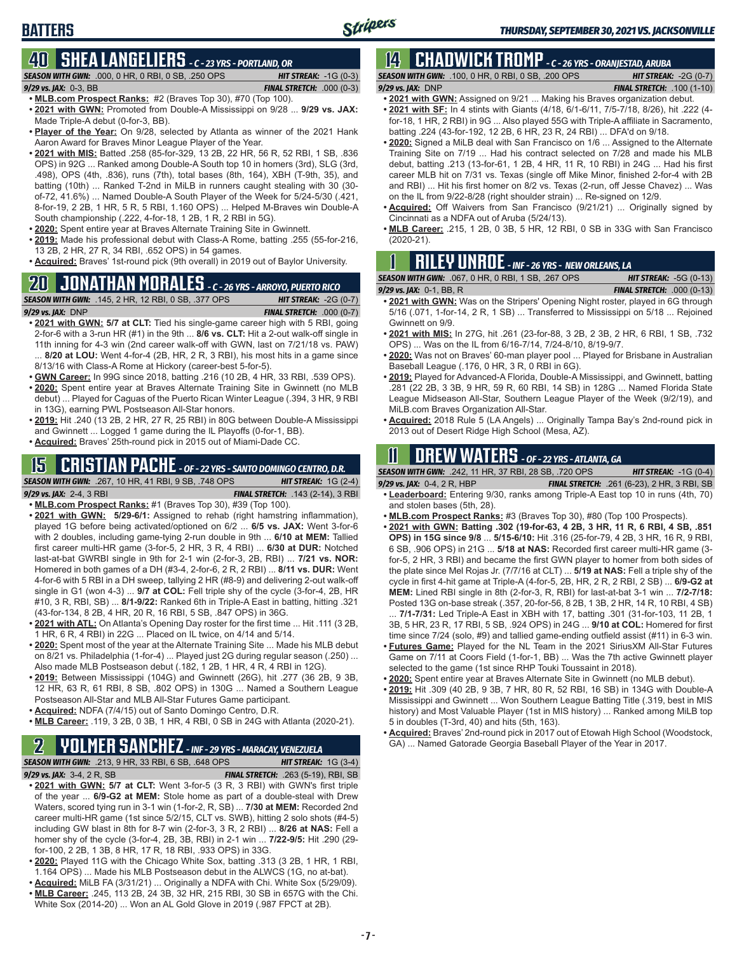# **40 SHEA LANGELIERS** *- C - 23 YRS - PORTLAND, OR*

*SEASON WITH GWN:*.000, 0 HR, 0 RBI, 0 SB, .250 OPS *HIT STREAK:* -1G (0-3) *9/29 vs. JAX:*0-3, BB *FINAL STRETCH:* .000 (0-3)

**• MLB.com Prospect Ranks:** #2 (Braves Top 30), #70 (Top 100).

- **• 2021 with GWN:** Promoted from Double-A Mississippi on 9/28 ... **9/29 vs. JAX:** Made Triple-A debut (0-for-3, BB).
- **• Player of the Year:** On 9/28, selected by Atlanta as winner of the 2021 Hank Aaron Award for Braves Minor League Player of the Year.
- **• 2021 with MIS:** Batted .258 (85-for-329, 13 2B, 22 HR, 56 R, 52 RBI, 1 SB, .836 OPS) in 92G ... Ranked among Double-A South top 10 in homers (3rd), SLG (3rd, .498), OPS (4th, .836), runs (7th), total bases (8th, 164), XBH (T-9th, 35), and batting (10th) ... Ranked T-2nd in MiLB in runners caught stealing with 30 (30 of-72, 41.6%) ... Named Double-A South Player of the Week for 5/24-5/30 (.421, 8-for-19, 2 2B, 1 HR, 5 R, 5 RBI, 1.160 OPS) ... Helped M-Braves win Double-A South championship (.222, 4-for-18, 1 2B, 1 R, 2 RBI in 5G).
- **• 2020:** Spent entire year at Braves Alternate Training Site in Gwinnett.
- **• 2019:** Made his professional debut with Class-A Rome, batting .255 (55-for-216, 13 2B, 2 HR, 27 R, 34 RBI, .652 OPS) in 54 games.
- **• Acquired:** Braves' 1st-round pick (9th overall) in 2019 out of Baylor University.

# **20 JONATHAN MORALES** *- C - 26 YRS - ARROYO, PUERTO RICO*

*SEASON WITH GWN:*.145, 2 HR, 12 RBI, 0 SB, .377 OPS *HIT STREAK:* -2G (0-7)

*9/29 vs. JAX:*DNP *FINAL STRETCH:* .000 (0-7) **• 2021 with GWN: 5/7 at CLT:** Tied his single-game career high with 5 RBI, going 2-for-6 with a 3-run HR (#1) in the 9th ... **8/6 vs. CLT:** Hit a 2-out walk-off single in

11th inning for 4-3 win (2nd career walk-off with GWN, last on 7/21/18 vs. PAW) ... **8/20 at LOU:** Went 4-for-4 (2B, HR, 2 R, 3 RBI), his most hits in a game since 8/13/16 with Class-A Rome at Hickory (career-best 5-for-5).

**• GWN Career:** In 99G since 2018, batting .216 (10 2B, 4 HR, 33 RBI, .539 OPS).

- **• 2020:** Spent entire year at Braves Alternate Training Site in Gwinnett (no MLB debut) ... Played for Caguas of the Puerto Rican Winter League (.394, 3 HR, 9 RBI in 13G), earning PWL Postseason All-Star honors.
- **• 2019:** Hit .240 (13 2B, 2 HR, 27 R, 25 RBI) in 80G between Double-A Mississippi and Gwinnett ... Logged 1 game during the IL Playoffs (0-for-1, BB).
- **• Acquired:** Braves' 25th-round pick in 2015 out of Miami-Dade CC.

### **15 CRISTIAN PACHE** *- OF - 22 YRS - SANTO DOMINGO CENTRO, D.R.*

*SEASON WITH GWN:*.267, 10 HR, 41 RBI, 9 SB, .748 OPS *HIT STREAK:* 1G (2-4) *9/29 vs. JAX:* 2-4, 3 RBI *FINAL STRETCH:* .143 (2-14), 3 RBI

- **• MLB.com Prospect Ranks:** #1 (Braves Top 30), #39 (Top 100).
- **• 2021 with GWN: 5/29-6/1:** Assigned to rehab (right hamstring inflammation), played 1G before being activated/optioned on 6/2 ... **6/5 vs. JAX:** Went 3-for-6 with 2 doubles, including game-tying 2-run double in 9th ... **6/10 at MEM:** Tallied first career multi-HR game (3-for-5, 2 HR, 3 R, 4 RBI) ... **6/30 at DUR:** Notched last-at-bat GWRBI single in 9th for 2-1 win (2-for-3, 2B, RBI) ... **7/21 vs. NOR:** Homered in both games of a DH (#3-4, 2-for-6, 2 R, 2 RBI) ... **8/11 vs. DUR:** Went 4-for-6 with 5 RBI in a DH sweep, tallying 2 HR (#8-9) and delivering 2-out walk-off single in G1 (won 4-3) ... **9/7 at COL:** Fell triple shy of the cycle (3-for-4, 2B, HR #10, 3 R, RBI, SB) ... **8/1-9/22:** Ranked 6th in Triple-A East in batting, hitting .321 (43-for-134, 8 2B, 4 HR, 20 R, 16 RBI, 5 SB, .847 OPS) in 36G.
- **• 2021 with ATL:** On Atlanta's Opening Day roster for the first time ... Hit .111 (3 2B, 1 HR, 6 R, 4 RBI) in 22G ... Placed on IL twice, on 4/14 and 5/14.
- **• 2020:** Spent most of the year at the Alternate Training Site ... Made his MLB debut on 8/21 vs. Philadelphia (1-for-4) ... Played just 2G during regular season (.250) ... Also made MLB Postseason debut (.182, 1 2B, 1 HR, 4 R, 4 RBI in 12G).
- **• 2019:** Between Mississippi (104G) and Gwinnett (26G), hit .277 (36 2B, 9 3B, 12 HR, 63 R, 61 RBI, 8 SB, .802 OPS) in 130G ... Named a Southern League Postseason All-Star and MLB All-Star Futures Game participant.
- **• Acquired:** NDFA (7/4/15) out of Santo Domingo Centro, D.R.
- **• MLB Career:** .119, 3 2B, 0 3B, 1 HR, 4 RBI, 0 SB in 24G with Atlanta (2020-21).

# **2 YOLMER SANCHEZ** *- INF - 29 YRS - MARACAY, VENEZUELA*

*SEASON WITH GWN:*.213, 9 HR, 33 RBI, 6 SB, .648 OPS *HIT STREAK:* 1G (3-4) *9/29 vs. JAX:*3-4, 2 R, SB *FINAL STRETCH:* .263 (5-19), RBI, SB

- **• 2021 with GWN: 5/7 at CLT:** Went 3-for-5 (3 R, 3 RBI) with GWN's first triple of the year ... **6/9-G2 at MEM:** Stole home as part of a double-steal with Drew Waters, scored tying run in 3-1 win (1-for-2, R, SB) ... **7/30 at MEM:** Recorded 2nd career multi-HR game (1st since 5/2/15, CLT vs. SWB), hitting 2 solo shots (#4-5) including GW blast in 8th for 8-7 win (2-for-3, 3 R, 2 RBI) ... **8/26 at NAS:** Fell a homer shy of the cycle (3-for-4, 2B, 3B, RBI) in 2-1 win ... **7/22-9/5:** Hit .290 (29 for-100, 2 2B, 1 3B, 8 HR, 17 R, 18 RBI, .933 OPS) in 33G.
- **• 2020:** Played 11G with the Chicago White Sox, batting .313 (3 2B, 1 HR, 1 RBI, 1.164 OPS) ... Made his MLB Postseason debut in the ALWCS (1G, no at-bat).
- **• Acquired:** MiLB FA (3/31/21) ... Originally a NDFA with Chi. White Sox (5/29/09). **• MLB Career:** .245, 113 2B, 24 3B, 32 HR, 215 RBI, 30 SB in 657G with the Chi.
- White Sox (2014-20) ... Won an AL Gold Glove in 2019 (.987 FPCT at 2B).

# **14 CHADWICK TROMP** *- C - 26 YRS - ORANJESTAD, ARUBA*

Stripers

*SEASON WITH GWN:*.100, 0 HR, 0 RBI, 0 SB, .200 OPS *HIT STREAK:* -2G (0-7) *9/29 vs. JAX:*DNP *FINAL STRETCH:* .100 (1-10)

- **• 2021 with GWN:** Assigned on 9/21 ... Making his Braves organization debut.
- **• 2021 with SF:** In 4 stints with Giants (4/18, 6/1-6/11, 7/5-7/18, 8/26), hit .222 (4 for-18, 1 HR, 2 RBI) in 9G ... Also played 55G with Triple-A affiliate in Sacramento, batting .224 (43-for-192, 12 2B, 6 HR, 23 R, 24 RBI) ... DFA'd on 9/18.
- **• 2020:** Signed a MiLB deal with San Francisco on 1/6 ... Assigned to the Alternate Training Site on 7/19 ... Had his contract selected on 7/28 and made his MLB debut, batting .213 (13-for-61, 1 2B, 4 HR, 11 R, 10 RBI) in 24G ... Had his first career MLB hit on 7/31 vs. Texas (single off Mike Minor, finished 2-for-4 with 2B and RBI) ... Hit his first homer on 8/2 vs. Texas (2-run, off Jesse Chavez) ... Was on the IL from 9/22-8/28 (right shoulder strain) ... Re-signed on 12/9.
- **• Acquired:** Off Waivers from San Francisco (9/21/21) ... Originally signed by Cincinnati as a NDFA out of Aruba (5/24/13).
- **• MLB Career:** .215, 1 2B, 0 3B, 5 HR, 12 RBI, 0 SB in 33G with San Francisco (2020-21).

# **1 RILEY UNROE** *- INF - 26 YRS - NEW ORLEANS, LA*

| <b>SEASON WITH GWN: .067, 0 HR, 0 RBI, 1 SB, .267 OPS</b> | <b>HIT STREAK: <math>-5G(0-13)</math></b> |
|-----------------------------------------------------------|-------------------------------------------|
| 9/29 vs. JAX: 0-1, BB, R                                  | <b>FINAL STRETCH: .000 (0-13)</b>         |

- **• 2021 with GWN:** Was on the Stripers' Opening Night roster, played in 6G through 5/16 (.071, 1-for-14, 2 R, 1 SB) ... Transferred to Mississippi on 5/18 ... Rejoined Gwinnett on 9/9.
- **• 2021 with MIS:** In 27G, hit .261 (23-for-88, 3 2B, 2 3B, 2 HR, 6 RBI, 1 SB, .732 OPS) ... Was on the IL from 6/16-7/14, 7/24-8/10, 8/19-9/7.
- **• 2020:** Was not on Braves' 60-man player pool ... Played for Brisbane in Australian Baseball League (.176, 0 HR, 3 R, 0 RBI in 6G).
- **• 2019:** Played for Advanced-A Florida, Double-A Mississippi, and Gwinnett, batting .281 (22 2B, 3 3B, 9 HR, 59 R, 60 RBI, 14 SB) in 128G ... Named Florida State League Midseason All-Star, Southern League Player of the Week (9/2/19), and MiLB.com Braves Organization All-Star.
- **• Acquired:** 2018 Rule 5 (LA Angels) ... Originally Tampa Bay's 2nd-round pick in 2013 out of Desert Ridge High School (Mesa, AZ).

# **11 Drew WATERS** *- OF - 22 YRS - ATLANTA, GA*

*SEASON WITH GWN:*.242, 11 HR, 37 RBI, 28 SB, .720 OPS *HIT STREAK:* -1G (0-4)

*9/29 vs. JAX:*0-4, 2 R, HBP *FINAL STRETCH:* .261 (6-23), 2 HR, 3 RBI, SB

- **• Leaderboard:** Entering 9/30, ranks among Triple-A East top 10 in runs (4th, 70) and stolen bases (5th, 28).
- **• MLB.com Prospect Ranks:** #3 (Braves Top 30), #80 (Top 100 Prospects).
- **• 2021 with GWN: Batting .302 (19-for-63, 4 2B, 3 HR, 11 R, 6 RBI, 4 SB, .851 OPS) in 15G since 9/8** ... **5/15-6/10:** Hit .316 (25-for-79, 4 2B, 3 HR, 16 R, 9 RBI, 6 SB, .906 OPS) in 21G ... **5/18 at NAS:** Recorded first career multi-HR game (3 for-5, 2 HR, 3 RBI) and became the first GWN player to homer from both sides of the plate since Mel Rojas Jr. (7/7/16 at CLT) ... **5/19 at NAS:** Fell a triple shy of the cycle in first 4-hit game at Triple-A (4-for-5, 2B, HR, 2 R, 2 RBI, 2 SB) ... **6/9-G2 at MEM:** Lined RBI single in 8th (2-for-3, R, RBI) for last-at-bat 3-1 win ... **7/2-7/18:** Posted 13G on-base streak (.357, 20-for-56, 8 2B, 1 3B, 2 HR, 14 R, 10 RBI, 4 SB)

... **7/1-7/31:** Led Triple-A East in XBH with 17, batting .301 (31-for-103, 11 2B, 1 3B, 5 HR, 23 R, 17 RBI, 5 SB, .924 OPS) in 24G ... **9/10 at COL:** Homered for first time since 7/24 (solo, #9) and tallied game-ending outfield assist (#11) in 6-3 win.

- **• Futures Game:** Played for the NL Team in the 2021 SiriusXM All-Star Futures Game on 7/11 at Coors Field (1-for-1, BB) ... Was the 7th active Gwinnett player selected to the game (1st since RHP Touki Toussaint in 2018).
- **• 2020:** Spent entire year at Braves Alternate Site in Gwinnett (no MLB debut).
- **• 2019:** Hit .309 (40 2B, 9 3B, 7 HR, 80 R, 52 RBI, 16 SB) in 134G with Double-A Mississippi and Gwinnett ... Won Southern League Batting Title (.319, best in MIS history) and Most Valuable Player (1st in MIS history) ... Ranked among MiLB top 5 in doubles (T-3rd, 40) and hits (5th, 163).
- **• Acquired:** Braves' 2nd-round pick in 2017 out of Etowah High School (Woodstock, GA) ... Named Gatorade Georgia Baseball Player of the Year in 2017.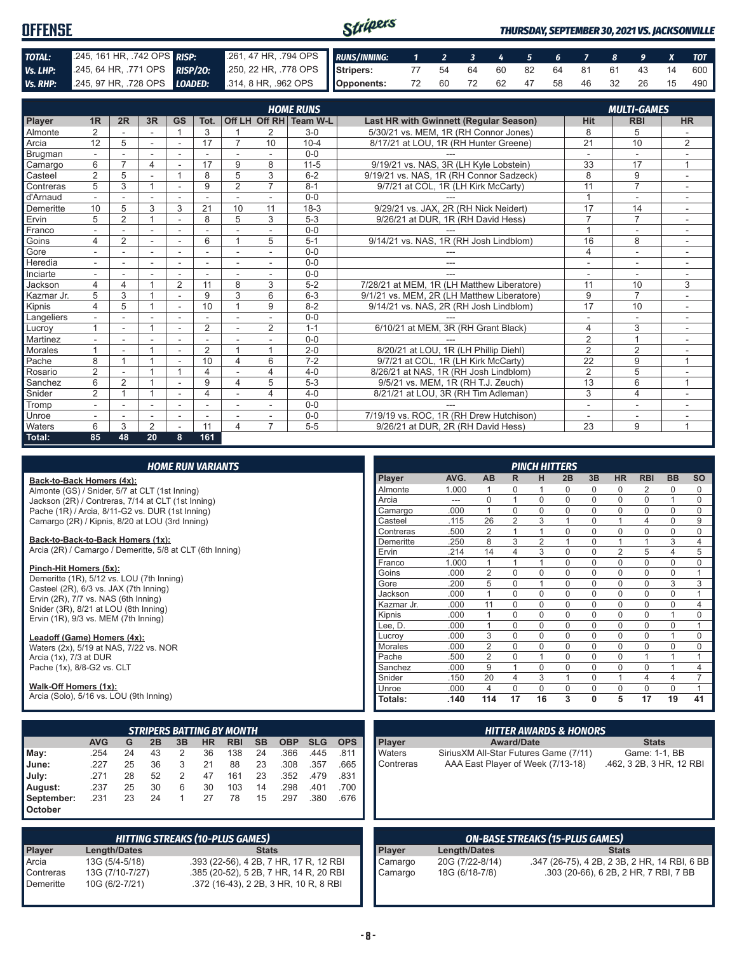| <b>OFFENSE</b> |                                                                                                                                                                                         |                                                          | Stripers |  |  |  |  |  | <b>THURSDAY, SEPTEMBER 30, 2021 VS. JACKSONVILLE</b> |
|----------------|-----------------------------------------------------------------------------------------------------------------------------------------------------------------------------------------|----------------------------------------------------------|----------|--|--|--|--|--|------------------------------------------------------|
|                |                                                                                                                                                                                         |                                                          |          |  |  |  |  |  |                                                      |
| TOTAL:         | 245, 161 HR, 742 OPS RISP:                                                                                                                                                              | 261, 47 HR, 794 OPS RUNS/INNING: 1 2 3 4 5 6 7 8 9 X TOT |          |  |  |  |  |  |                                                      |
|                | Vs. LHP: 245, 64 HR, 771 OPS RISP/20: 250, 22 HR, 778 OPS Stripers: 77 54 64 60 82 64 81 61 43 14 600                                                                                   |                                                          |          |  |  |  |  |  |                                                      |
|                | <b>Vs. RHP:</b> $\begin{array}{ l l l l l } \hline 245,97 \text{ HR}, .728 \text{ OPS} & \text{LOADED:} & .314,8 \text{ HR}, .962 \text{ OPS} & \text{Opponents:} \ \hline \end{array}$ |                                                          |          |  |  |  |  |  | 72 60 72 62 47 58 46 32 26 15 490                    |

|                |                |                |                |                          |                          |                          |                          | <b>HOME RUNS</b>       |                                               |                | <b>MULTI-GAMES</b>       |                          |
|----------------|----------------|----------------|----------------|--------------------------|--------------------------|--------------------------|--------------------------|------------------------|-----------------------------------------------|----------------|--------------------------|--------------------------|
| Player         | 1 <sub>R</sub> | 2R             | 3R             | <b>GS</b>                | Tot.                     |                          |                          | Off LH Off RH Team W-L | <b>Last HR with Gwinnett (Regular Season)</b> | <b>Hit</b>     | <b>RBI</b>               | <b>HR</b>                |
| Almonte        | $\overline{2}$ |                |                |                          | 3                        |                          | 2                        | $3-0$                  | 5/30/21 vs. MEM, 1R (RH Connor Jones)         | 8              | 5                        |                          |
| Arcia          | 12             | 5              | $\sim$         | $\blacksquare$           | 17                       |                          | 10                       | $10 - 4$               | 8/17/21 at LOU, 1R (RH Hunter Greene)         | 21             | 10                       | $\overline{2}$           |
| Brugman        |                |                | ÷              | ä,                       |                          |                          |                          | $0 - 0$                |                                               | ä,             | $\overline{\phantom{a}}$ |                          |
| Camargo        | 6              | $\overline{ }$ | $\overline{4}$ |                          | 17                       | 9                        | 8                        | $11 - 5$               | 9/19/21 vs. NAS, 3R (LH Kyle Lobstein)        | 33             | 17                       | $\overline{A}$           |
| Casteel        | $\overline{2}$ | 5              |                |                          | 8                        | 5                        | 3                        | $6 - 2$                | 9/19/21 vs. NAS, 1R (RH Connor Sadzeck)       | 8              | 9                        | $\sim$                   |
| Contreras      | 5              | 3              |                |                          | 9                        | $\overline{2}$           | $\overline{7}$           | $8 - 1$                | 9/7/21 at COL, 1R (LH Kirk McCarty)           | 11             | $\overline{7}$           |                          |
| d'Arnaud       |                |                |                |                          |                          |                          |                          | $0 - 0$                |                                               | $\overline{1}$ | ٠                        |                          |
| Demeritte      | 10             | 5              | 3              | 3                        | 21                       | 10                       | 11                       | $18-3$                 | 9/29/21 vs. JAX, 2R (RH Nick Neidert)         | 17             | 14                       | ۰                        |
| Ervin          | 5              | $\overline{2}$ |                | $\overline{\phantom{a}}$ | 8                        | 5                        | 3                        | $5 - 3$                | 9/26/21 at DUR, 1R (RH David Hess)            | $\overline{7}$ | $\overline{7}$           |                          |
| Franco         |                |                |                |                          |                          |                          |                          | $0 - 0$                |                                               | $\overline{1}$ | ÷.                       |                          |
| Goins          | 4              | $\overline{2}$ | ٠              | $\overline{\phantom{a}}$ | 6                        |                          | 5                        | $5 - 1$                | 9/14/21 vs. NAS, 1R (RH Josh Lindblom)        | 16             | 8                        | ٠                        |
| Gore           |                |                | ٠              | ٠                        | $\overline{\phantom{a}}$ | $\overline{\phantom{a}}$ | $\overline{\phantom{a}}$ | $0 - 0$                |                                               | $\overline{4}$ | ۰                        |                          |
| Heredia        |                |                |                |                          |                          |                          |                          | $0 - 0$                | ---                                           |                | ٠                        |                          |
| Inciarte       |                |                |                |                          |                          |                          |                          | $0 - 0$                | ---                                           | ۰              | ٠                        |                          |
| Jackson        | 4              | 4              |                | 2                        | 11                       | 8                        | 3                        | $5 - 2$                | 7/28/21 at MEM, 1R (LH Matthew Liberatore)    | 11             | 10                       | 3                        |
| Kazmar Jr.     | 5              | 3              |                |                          | 9                        | 3                        | 6                        | $6 - 3$                | 9/1/21 vs. MEM, 2R (LH Matthew Liberatore)    | 9              | $\overline{7}$           |                          |
| Kipnis         | 4              | 5              |                | ÷                        | 10                       | $\overline{A}$           | 9                        | $8 - 2$                | 9/14/21 vs. NAS, 2R (RH Josh Lindblom)        | 17             | 10                       | $\overline{\phantom{a}}$ |
| Langeliers     |                |                |                | ٠                        |                          | $\overline{\phantom{a}}$ |                          | $0 - 0$                |                                               | ٠              | ٠                        | ٠                        |
| Lucrov         |                |                |                |                          | $\overline{2}$           |                          | $\overline{2}$           | $1 - 1$                | 6/10/21 at MEM, 3R (RH Grant Black)           | 4              | 3                        |                          |
| Martinez       |                |                |                |                          |                          |                          |                          | $0 - 0$                |                                               | $\overline{2}$ | $\overline{1}$           |                          |
| <b>Morales</b> |                |                |                | $\overline{a}$           | 2                        | $\overline{A}$           | $\overline{1}$           | $2 - 0$                | 8/20/21 at LOU, 1R (LH Phillip Diehl)         | $\overline{2}$ | $\overline{2}$           |                          |
| Pache          | 8              |                |                |                          | 10                       | 4                        | 6                        | $7-2$                  | 9/7/21 at COL. 1R (LH Kirk McCarty)           | 22             | 9                        | $\overline{ }$           |
| Rosario        | $\overline{2}$ |                |                |                          | 4                        |                          | 4                        | $4 - 0$                | 8/26/21 at NAS, 1R (RH Josh Lindblom)         | 2              | 5                        |                          |
| Sanchez        | 6              | $\overline{2}$ |                |                          | 9                        | 4                        | 5                        | $5-3$                  | 9/5/21 vs. MEM, 1R (RH T.J. Zeuch)            | 13             | 6                        | 1                        |
| Snider         | $\overline{2}$ |                |                | ٠                        | $\overline{4}$           |                          | 4                        | $4 - 0$                | 8/21/21 at LOU, 3R (RH Tim Adleman)           | 3              | $\overline{4}$           |                          |
| Tromp          |                |                | ٠              | $\blacksquare$           | ٠                        |                          |                          | $0 - 0$                |                                               | ۰              | ٠                        |                          |
| Unroe          |                |                |                |                          |                          |                          |                          | $0 - 0$                | 7/19/19 vs. ROC, 1R (RH Drew Hutchison)       |                |                          |                          |
| Waters         | 6              | 3              | 2              | $\sim$                   | 11                       | 4                        | $\overline{7}$           | $5-5$                  | 9/26/21 at DUR, 2R (RH David Hess)            | 23             | 9                        | $\overline{1}$           |
| Total:         | 85             | 48             | 20             | 8                        | 161                      |                          |                          |                        |                                               |                |                          |                          |

| <b>HOME RUN VARIANTS</b> |  |  |
|--------------------------|--|--|
|                          |  |  |

#### **Back-to-Back Homers (4x):**

Almonte (GS) / Snider, 5/7 at CLT (1st Inning) Jackson (2R) / Contreras, 7/14 at CLT (1st Inning) Pache (1R) / Arcia, 8/11-G2 vs. DUR (1st Inning) Camargo (2R) / Kipnis, 8/20 at LOU (3rd Inning)

#### **Back-to-Back-to-Back Homers (1x):**

Arcia (2R) / Camargo / Demeritte, 5/8 at CLT (6th Inning)

#### **Pinch-Hit Homers (5x):**

Demeritte (1R), 5/12 vs. LOU (7th Inning) Casteel (2R), 6/3 vs. JAX (7th Inning) Ervin (2R), 7/7 vs. NAS (6th Inning) Snider (3R), 8/21 at LOU (8th Inning) Ervin (1R), 9/3 vs. MEM (7th Inning)

#### **Leadoff (Game) Homers (4x):**

Waters (2x), 5/19 at NAS, 7/22 vs. NOR Arcia (1x), 7/3 at DUR Pache (1x), 8/8-G2 vs. CLT

#### **Walk-Off Homers (1x):**

Arcia (Solo), 5/16 vs. LOU (9th Inning)

|            | <b>STRIPERS BATTING BY MONTH</b>                                                                              |    |    |   |    |     |    |      |      |      |
|------------|---------------------------------------------------------------------------------------------------------------|----|----|---|----|-----|----|------|------|------|
|            | <b>AVG</b><br><b>SB</b><br><b>OBP</b><br><b>HR</b><br><b>SLG</b><br><b>OPS</b><br>2B<br><b>RBI</b><br>3B<br>G |    |    |   |    |     |    |      |      |      |
| May:       | .254                                                                                                          | 24 | 43 | 2 | 36 | 138 | 24 | .366 | .445 | .811 |
| June:      | .227                                                                                                          | 25 | 36 | 3 | 21 | 88  | 23 | .308 | .357 | .665 |
| July:      | .271                                                                                                          | 28 | 52 | 2 | 47 | 161 | 23 | .352 | .479 | .831 |
| August:    | .237                                                                                                          | 25 | 30 | 6 | 30 | 103 | 14 | .298 | .401 | .700 |
| September: | .231                                                                                                          | 23 | 24 | 1 | 27 | 78  | 15 | .297 | .380 | .676 |
| October    |                                                                                                               |    |    |   |    |     |    |      |      |      |

|                        | <b>HITTING STREAKS (10-PLUS GAMES)</b> |                                                                                 |  |  |  |  |  |  |
|------------------------|----------------------------------------|---------------------------------------------------------------------------------|--|--|--|--|--|--|
| Player                 | <b>Length/Dates</b>                    | <b>Stats</b>                                                                    |  |  |  |  |  |  |
| Arcia                  | 13G (5/4-5/18)                         | .393 (22-56), 4 2B, 7 HR, 17 R, 12 RBI                                          |  |  |  |  |  |  |
| Contreras<br>Demeritte | 13G (7/10-7/27)<br>10G (6/2-7/21)      | .385 (20-52), 5 2B, 7 HR, 14 R, 20 RBI<br>.372 (16-43), 2 2B, 3 HR, 10 R, 8 RBI |  |  |  |  |  |  |

|                |       |                |                | PINCH HITTERS  |             |          |                |                |                |                |
|----------------|-------|----------------|----------------|----------------|-------------|----------|----------------|----------------|----------------|----------------|
| <b>Player</b>  | AVG.  | AB             | R              | н              | 2B          | 3B       | <b>HR</b>      | <b>RBI</b>     | <b>BB</b>      | <b>SO</b>      |
| Almonte        | 1.000 | 1              | $\Omega$       | 1              | $\Omega$    | $\Omega$ | 0              | 2              | 0              | $\Omega$       |
| Arcia          | ---   | 0              | 1              | $\Omega$       | 0           | $\Omega$ | $\mathbf 0$    | $\mathbf 0$    | 1              | $\Omega$       |
| Camargo        | .000  | 1              | $\Omega$       | $\Omega$       | $\Omega$    | $\Omega$ | 0              | $\Omega$       | $\Omega$       | $\Omega$       |
| Casteel        | .115  | 26             | $\overline{2}$ | 3              | 1           | 0        | 1              | 4              | 0              | 9              |
| Contreras      | .500  | $\overline{2}$ | 1              | 1              | $\mathbf 0$ | $\Omega$ | $\mathbf 0$    | $\mathbf 0$    | $\Omega$       | $\mathbf 0$    |
| Demeritte      | .250  | 8              | 3              | $\overline{2}$ | 1           | $\Omega$ | 1              | 1              | 3              | $\overline{4}$ |
| Ervin          | .214  | 14             | 4              | 3              | 0           | $\Omega$ | $\overline{2}$ | 5              | $\overline{4}$ | 5              |
| Franco         | 1.000 | 1              | 1              | 1              | 0           | $\Omega$ | $\mathbf 0$    | $\mathbf 0$    | 0              | $\mathbf 0$    |
| Goins          | .000  | $\overline{2}$ | $\Omega$       | $\Omega$       | $\Omega$    | $\Omega$ | $\Omega$       | $\Omega$       | $\Omega$       | 1              |
| Gore           | .200  | 5              | $\mathbf 0$    | 1              | 0           | 0        | 0              | $\mathbf 0$    | 3              | 3              |
| Jackson        | .000  | 1              | $\Omega$       | $\Omega$       | $\Omega$    | $\Omega$ | 0              | $\mathbf 0$    | 0              | 1              |
| Kazmar Jr.     | .000  | 11             | $\Omega$       | $\Omega$       | $\Omega$    | $\Omega$ | 0              | $\mathbf 0$    | 0              | $\overline{4}$ |
| Kipnis         | .000  | 1              | $\Omega$       | $\Omega$       | 0           | $\Omega$ | $\Omega$       | $\Omega$       | 1              | $\mathbf 0$    |
| Lee, D.        | .000  | 1              | $\Omega$       | $\Omega$       | 0           | $\Omega$ | $\mathbf 0$    | $\Omega$       | 0              | 1              |
| Lucroy         | .000  | 3              | $\Omega$       | $\Omega$       | $\Omega$    | $\Omega$ | 0              | $\mathbf 0$    | 1              | $\Omega$       |
| <b>Morales</b> | .000  | $\overline{2}$ | $\mathbf 0$    | 0              | 0           | $\Omega$ | 0              | $\mathbf 0$    | 0              | $\mathbf 0$    |
| Pache          | .500  | $\overline{2}$ | $\mathbf 0$    | 1              | $\Omega$    | $\Omega$ | $\mathbf 0$    | 1              | 1              | 1              |
| Sanchez        | .000  | 9              | 1              | $\Omega$       | 0           | $\Omega$ | 0              | $\Omega$       | 1              | $\overline{4}$ |
| Snider         | .150  | 20             | $\overline{4}$ | 3              | 1           | $\Omega$ | 1              | $\overline{4}$ | 4              | $\overline{7}$ |
| Unroe          | .000  | 4              | $\Omega$       | $\Omega$       | $\Omega$    | $\Omega$ | $\Omega$       | $\Omega$       | $\Omega$       | 1              |
| Totals:        | .140  | 114            | 17             | 16             | 3           | $\bf{0}$ | 5              | 17             | 19             | 41             |

|       |            |               |                                        | <b>HITTER AWARDS &amp; HONORS</b>      |                                              |
|-------|------------|---------------|----------------------------------------|----------------------------------------|----------------------------------------------|
| ā     | <b>OPS</b> | <b>Player</b> | <b>Award/Date</b>                      |                                        | <b>Stats</b>                                 |
| 5     | .811       | Waters        | Sirius XM All-Star Futures Game (7/11) |                                        | Game: 1-1, BB                                |
|       | .665       | Contreras     | AAA East Player of Week (7/13-18)      |                                        | .462, 3 2B, 3 HR, 12 RBI                     |
| 9     | .831       |               |                                        |                                        |                                              |
| 1     | .700       |               |                                        |                                        |                                              |
| 0     | .676       |               |                                        |                                        |                                              |
|       |            |               |                                        |                                        |                                              |
|       |            |               |                                        |                                        |                                              |
|       |            |               |                                        | <b>ON-BASE STREAKS (15-PLUS GAMES)</b> |                                              |
|       |            | Player        | <b>Length/Dates</b>                    |                                        | <b>Stats</b>                                 |
|       |            |               |                                        |                                        |                                              |
|       | 2 RBI      | Camargo       | 20G (7/22-8/14)                        |                                        | .347 (26-75), 4 2B, 2 3B, 2 HR, 14 RBI, 6 BB |
|       | 0 RBI      | Camargo       | 18G (6/18-7/8)                         |                                        | .303 (20-66), 6 2B, 2 HR, 7 RBI, 7 BB        |
| 3 RBI |            |               |                                        |                                        |                                              |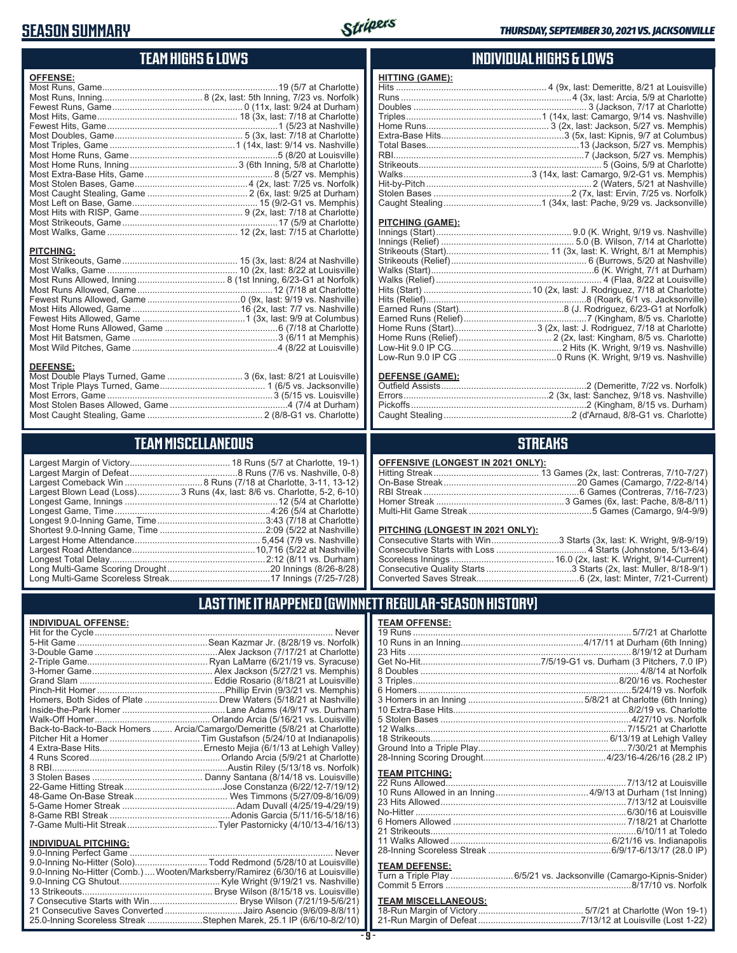### **SEASON SUMMARY**



### **TEAM HIGHS & LOWS**

| <b>OFFENSE:</b>                                                  |  |
|------------------------------------------------------------------|--|
|                                                                  |  |
|                                                                  |  |
|                                                                  |  |
|                                                                  |  |
|                                                                  |  |
|                                                                  |  |
|                                                                  |  |
|                                                                  |  |
|                                                                  |  |
|                                                                  |  |
|                                                                  |  |
|                                                                  |  |
|                                                                  |  |
|                                                                  |  |
|                                                                  |  |
|                                                                  |  |
|                                                                  |  |
| <b>PITCHING:</b>                                                 |  |
|                                                                  |  |
|                                                                  |  |
|                                                                  |  |
|                                                                  |  |
|                                                                  |  |
|                                                                  |  |
|                                                                  |  |
|                                                                  |  |
|                                                                  |  |
|                                                                  |  |
|                                                                  |  |
| <b>DEFENSE:</b>                                                  |  |
| Most Double Plays Turned, Game  3 (6x, last: 8/21 at Louisville) |  |
|                                                                  |  |
|                                                                  |  |

### Most Caught Stealing, Game .............................................. 2 (8/8-G1 vs. Charlotte) **TEAM MISCELLANEOUS**

Most Errors, Game ..................................................................3 (5/15 vs. Louisville) Most Stolen Bases Allowed, Game ...............................................4 (7/4 at Durham)

| Largest Blown Lead (Loss) 3 Runs (4x, last: 8/6 vs. Charlotte, 5-2, 6-10) |
|---------------------------------------------------------------------------|
|                                                                           |
|                                                                           |
|                                                                           |
|                                                                           |
|                                                                           |
|                                                                           |
|                                                                           |
|                                                                           |
|                                                                           |

### **INDIVIDUAL HIGHS & LOWS**

| <b>HITTING (GAME):</b> |  |
|------------------------|--|
|                        |  |
|                        |  |
|                        |  |
|                        |  |
|                        |  |
|                        |  |
|                        |  |
|                        |  |
|                        |  |
|                        |  |
|                        |  |
|                        |  |
|                        |  |
|                        |  |

#### **PITCHING (GAME):**

#### **DEFENSE (GAME):**

#### **STREAKS**

#### **OFFENSIVE (LONGEST IN 2021 ONLY):**

#### **PITCHING (LONGEST IN 2021 ONLY):**

| Consecutive Starts with Win3 Starts (3x, last: K. Wright, 9/8-9/19) |
|---------------------------------------------------------------------|
|                                                                     |
|                                                                     |
|                                                                     |
|                                                                     |

19 Runs ....................................................................................... 5/7/21 at Charlotte 10 Runs in an Inning.................................................4/17/11 at Durham (6th Inning) 23 Hits .........................................................................................8/19/12 at Durham Get No-Hit................................................7/5/19-G1 vs. Durham (3 Pitchers, 7.0 IP) 8 Doubles ....................................................................................... 4/8/14 at Norfolk 3 Triples..................................................................................8/20/16 vs. Rochester 6 Homers.....................................................................................5/24/19 vs. Norfolk 3 Homers in an Inning ..............................................5/8/21 at Charlotte (6th Inning) 10 Extra-Base Hits......................................................................8/2/19 vs. Charlotte 5 Stolen Bases ............................................................................4/27/10 vs. Norfolk 12 Walks.................................................................................... 7/15/21 at Charlotte 18 Strikeouts....................................................................... 6/13/19 at Lehigh Valley Ground Into a Triple Play........................................................... 7/30/21 at Memphis 28-Inning Scoring Drought.................................................4/23/16-4/26/16 (28.2 IP)

### **LAST TIME IT HAPPENED (GWINNETT REGULAR-SEASON HISTORY)**

**TEAM OFFENSE:**

**TEAM PITCHING:**

**TEAM DEFENSE:**

#### **INDIVIDUAL OFFENSE:**

|                                                        | Homers, Both Sides of Plate  Drew Waters (5/18/21 at Nashville)            |
|--------------------------------------------------------|----------------------------------------------------------------------------|
|                                                        |                                                                            |
|                                                        |                                                                            |
|                                                        | Back-to-Back-to-Back Homers  Arcia/Camargo/Demeritte (5/8/21 at Charlotte) |
|                                                        |                                                                            |
|                                                        |                                                                            |
|                                                        |                                                                            |
|                                                        |                                                                            |
|                                                        |                                                                            |
|                                                        |                                                                            |
|                                                        |                                                                            |
|                                                        |                                                                            |
|                                                        |                                                                            |
|                                                        | 7-Game Multi-Hit Streak…Tyler Pastornicky (4/10/13-4/16/13)                |
|                                                        |                                                                            |
| <b>INDIVIDUAL PITCHING:</b><br>0.0 Inning Dorfoot Camp | Nover                                                                      |
|                                                        |                                                                            |

| טווווט ודי באטשויושווויט.                                                      |  |
|--------------------------------------------------------------------------------|--|
|                                                                                |  |
| 9.0-Inning No-Hitter (Solo)Todd Redmond (5/28/10 at Louisville)                |  |
| 9.0-Inning No-Hitter (Comb.) Wooten/Marksberry/Ramirez (6/30/16 at Louisville) |  |
|                                                                                |  |
|                                                                                |  |
|                                                                                |  |
| 21 Consecutive Saves Converted Jairo Asencio (9/6/09-8/8/11)                   |  |
| 25.0-Inning Scoreless Streak Stephen Marek, 25.1 IP (6/6/10-8/2/10)            |  |
|                                                                                |  |

| Turn a Triple Play 6/5/21 vs. Jacksonville (Camargo-Kipnis-Snider) |  |
|--------------------------------------------------------------------|--|
|                                                                    |  |
|                                                                    |  |

22 Runs Allowed........................................................................7/13/12 at Louisville 10 Runs Allowed in an Inning .....................................4/9/13 at Durham (1st Inning) 23 Hits Allowed ..........................................................................7/13/12 at Louisville No-Hitter ....................................................................................6/30/16 at Louisville 6 Homers Allowed ..................................................................... 7/18/21 at Charlotte 21 Strikeouts..................................................................................6/10/11 at Toledo 11 Walks Allowed ................................................................6/21/16 vs. Indianapolis 28-Inning Scoreless Streak .................................................6/9/17-6/13/17 (28.0 IP)

### **TEAM MISCELLANEOUS:**<br>18-Run Margin of Victory....

| 21-Run Margin of Defeat…………………………………7/13/12 at Louisville (Lost 1-22) |  |
|-----------------------------------------------------------------------|--|